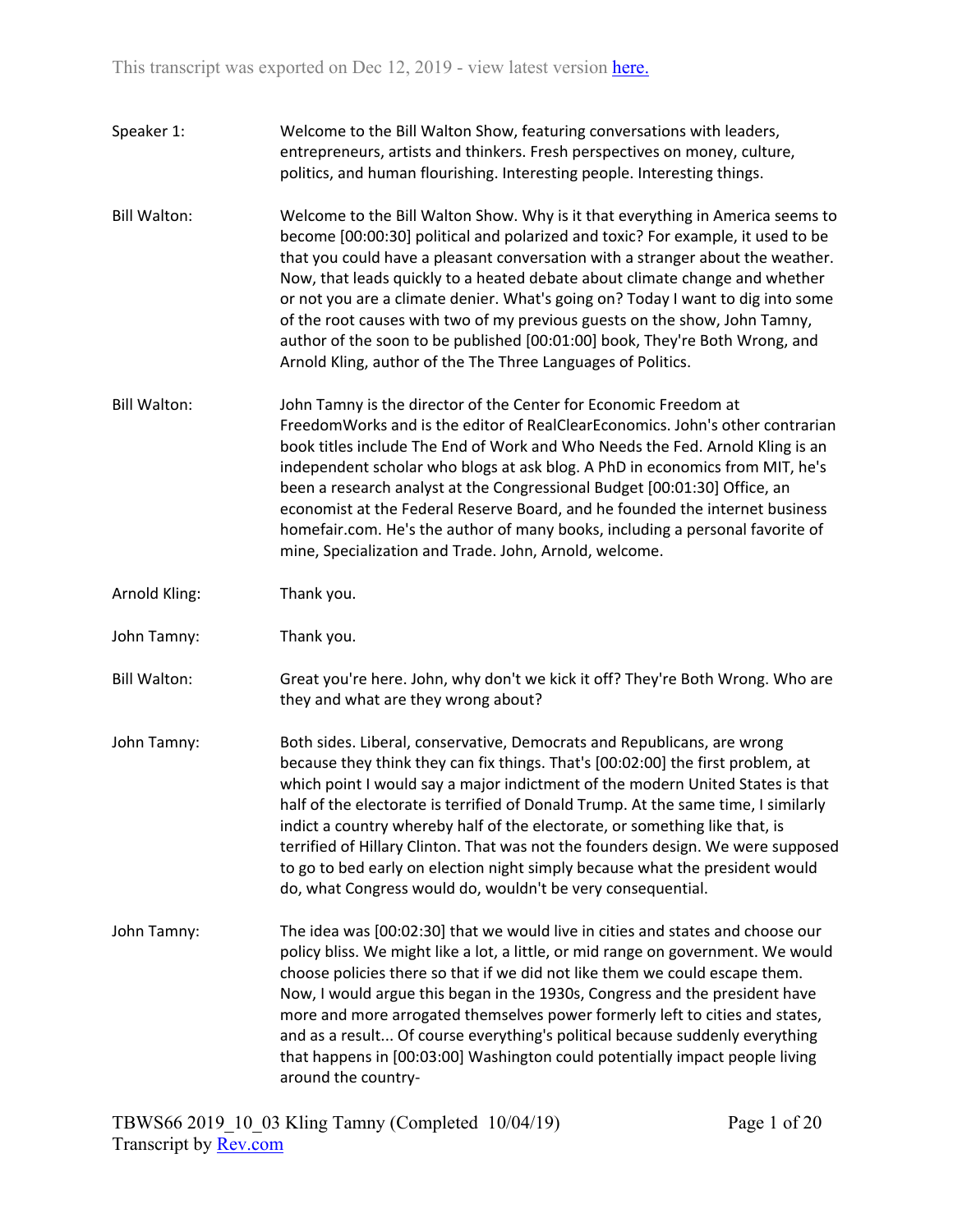Speaker 1: Welcome to the Bill Walton Show, featuring conversations with leaders, entrepreneurs, artists and thinkers. Fresh perspectives on money, culture, politics, and human flourishing. Interesting people. Interesting things. Bill Walton: Welcome to the Bill Walton Show. Why is it that everything in America seems to become [00:00:30] political and polarized and toxic? For example, it used to be that you could have a pleasant conversation with a stranger about the weather. Now, that leads quickly to a heated debate about climate change and whether or not you are a climate denier. What's going on? Today I want to dig into some of the root causes with two of my previous guests on the show, John Tamny, author of the soon to be published [00:01:00] book, They're Both Wrong, and Arnold Kling, author of the The Three Languages of Politics. Bill Walton: John Tamny is the director of the Center for Economic Freedom at FreedomWorks and is the editor of RealClearEconomics. John's other contrarian book titles include The End of Work and Who Needs the Fed. Arnold Kling is an independent scholar who blogs at ask blog. A PhD in economics from MIT, he's been a research analyst at the Congressional Budget [00:01:30] Office, an economist at the Federal Reserve Board, and he founded the internet business homefair.com. He's the author of many books, including a personal favorite of mine, Specialization and Trade. John, Arnold, welcome. Arnold Kling: Thank you. John Tamny: Thank you. Bill Walton: Great you're here. John, why don't we kick it off? They're Both Wrong. Who are they and what are they wrong about? John Tamny: Both sides. Liberal, conservative, Democrats and Republicans, are wrong because they think they can fix things. That's [00:02:00] the first problem, at which point I would say a major indictment of the modern United States is that half of the electorate is terrified of Donald Trump. At the same time, I similarly indict a country whereby half of the electorate, or something like that, is terrified of Hillary Clinton. That was not the founders design. We were supposed to go to bed early on election night simply because what the president would do, what Congress would do, wouldn't be very consequential. John Tamny: The idea was [00:02:30] that we would live in cities and states and choose our policy bliss. We might like a lot, a little, or mid range on government. We would choose policies there so that if we did not like them we could escape them. Now, I would argue this began in the 1930s, Congress and the president have more and more arrogated themselves power formerly left to cities and states, and as a result... Of course everything's political because suddenly everything that happens in [00:03:00] Washington could potentially impact people living around the country-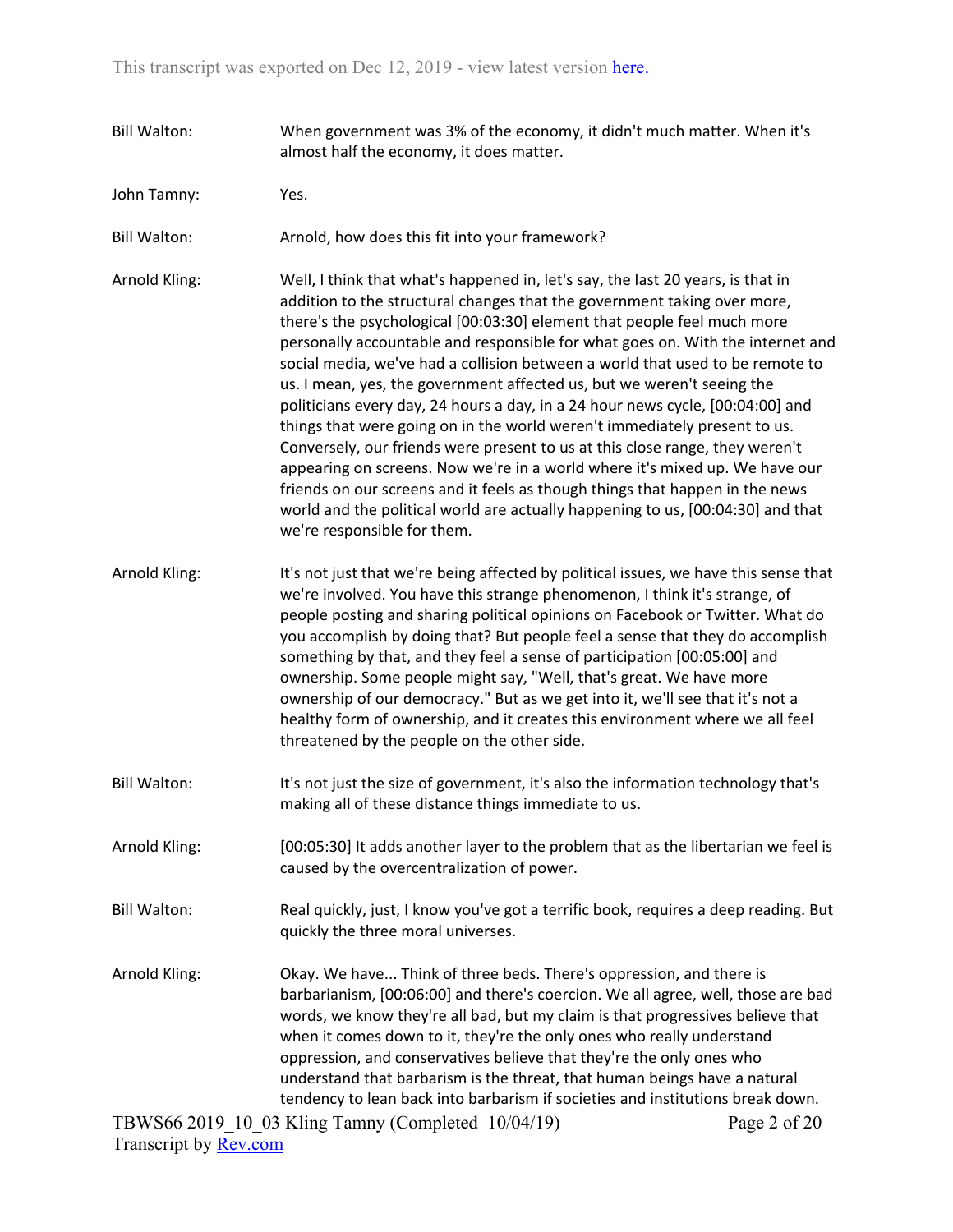- Bill Walton: When government was 3% of the economy, it didn't much matter. When it's almost half the economy, it does matter.
- John Tamny: Yes.
- Bill Walton: Arnold, how does this fit into your framework?
- Arnold Kling: Well, I think that what's happened in, let's say, the last 20 years, is that in addition to the structural changes that the government taking over more, there's the psychological [00:03:30] element that people feel much more personally accountable and responsible for what goes on. With the internet and social media, we've had a collision between a world that used to be remote to us. I mean, yes, the government affected us, but we weren't seeing the politicians every day, 24 hours a day, in a 24 hour news cycle, [00:04:00] and things that were going on in the world weren't immediately present to us. Conversely, our friends were present to us at this close range, they weren't appearing on screens. Now we're in a world where it's mixed up. We have our friends on our screens and it feels as though things that happen in the news world and the political world are actually happening to us, [00:04:30] and that we're responsible for them.
- Arnold Kling: It's not just that we're being affected by political issues, we have this sense that we're involved. You have this strange phenomenon, I think it's strange, of people posting and sharing political opinions on Facebook or Twitter. What do you accomplish by doing that? But people feel a sense that they do accomplish something by that, and they feel a sense of participation [00:05:00] and ownership. Some people might say, "Well, that's great. We have more ownership of our democracy." But as we get into it, we'll see that it's not a healthy form of ownership, and it creates this environment where we all feel threatened by the people on the other side.
- Bill Walton: It's not just the size of government, it's also the information technology that's making all of these distance things immediate to us.
- Arnold Kling: [00:05:30] It adds another layer to the problem that as the libertarian we feel is caused by the overcentralization of power.
- Bill Walton: Real quickly, just, I know you've got a terrific book, requires a deep reading. But quickly the three moral universes.
- Arnold Kling: Okay. We have... Think of three beds. There's oppression, and there is barbarianism, [00:06:00] and there's coercion. We all agree, well, those are bad words, we know they're all bad, but my claim is that progressives believe that when it comes down to it, they're the only ones who really understand oppression, and conservatives believe that they're the only ones who understand that barbarism is the threat, that human beings have a natural tendency to lean back into barbarism if societies and institutions break down.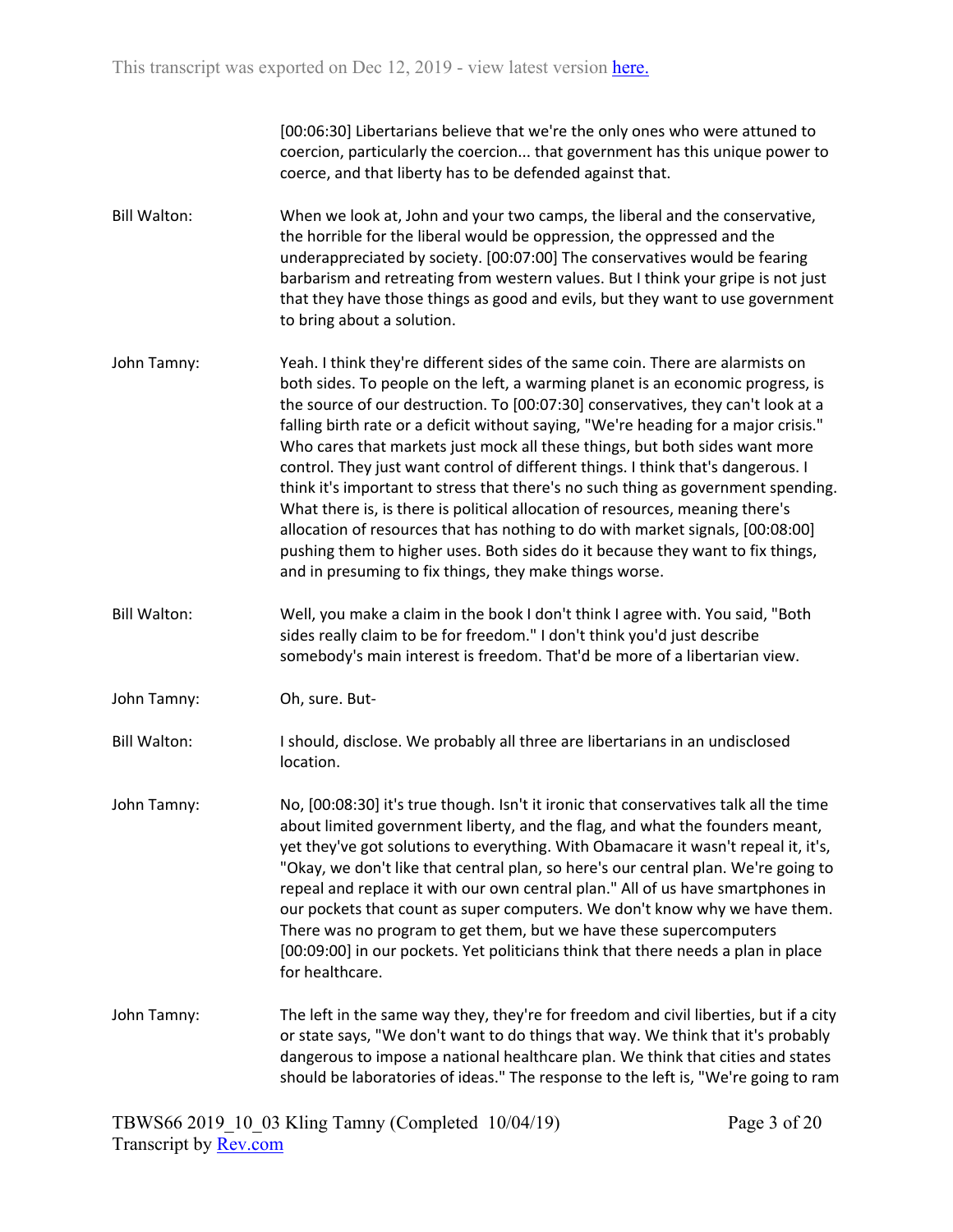[00:06:30] Libertarians believe that we're the only ones who were attuned to coercion, particularly the coercion... that government has this unique power to coerce, and that liberty has to be defended against that.

- Bill Walton: When we look at, John and your two camps, the liberal and the conservative, the horrible for the liberal would be oppression, the oppressed and the underappreciated by society. [00:07:00] The conservatives would be fearing barbarism and retreating from western values. But I think your gripe is not just that they have those things as good and evils, but they want to use government to bring about a solution.
- John Tamny: Yeah. I think they're different sides of the same coin. There are alarmists on both sides. To people on the left, a warming planet is an economic progress, is the source of our destruction. To [00:07:30] conservatives, they can't look at a falling birth rate or a deficit without saying, "We're heading for a major crisis." Who cares that markets just mock all these things, but both sides want more control. They just want control of different things. I think that's dangerous. I think it's important to stress that there's no such thing as government spending. What there is, is there is political allocation of resources, meaning there's allocation of resources that has nothing to do with market signals, [00:08:00] pushing them to higher uses. Both sides do it because they want to fix things, and in presuming to fix things, they make things worse.
- Bill Walton: Well, you make a claim in the book I don't think I agree with. You said, "Both sides really claim to be for freedom." I don't think you'd just describe somebody's main interest is freedom. That'd be more of a libertarian view.
- John Tamny: Oh, sure. But-
- Bill Walton: I should, disclose. We probably all three are libertarians in an undisclosed location.
- John Tamny: No, [00:08:30] it's true though. Isn't it ironic that conservatives talk all the time about limited government liberty, and the flag, and what the founders meant, yet they've got solutions to everything. With Obamacare it wasn't repeal it, it's, "Okay, we don't like that central plan, so here's our central plan. We're going to repeal and replace it with our own central plan." All of us have smartphones in our pockets that count as super computers. We don't know why we have them. There was no program to get them, but we have these supercomputers [00:09:00] in our pockets. Yet politicians think that there needs a plan in place for healthcare.
- John Tamny: The left in the same way they, they're for freedom and civil liberties, but if a city or state says, "We don't want to do things that way. We think that it's probably dangerous to impose a national healthcare plan. We think that cities and states should be laboratories of ideas." The response to the left is, "We're going to ram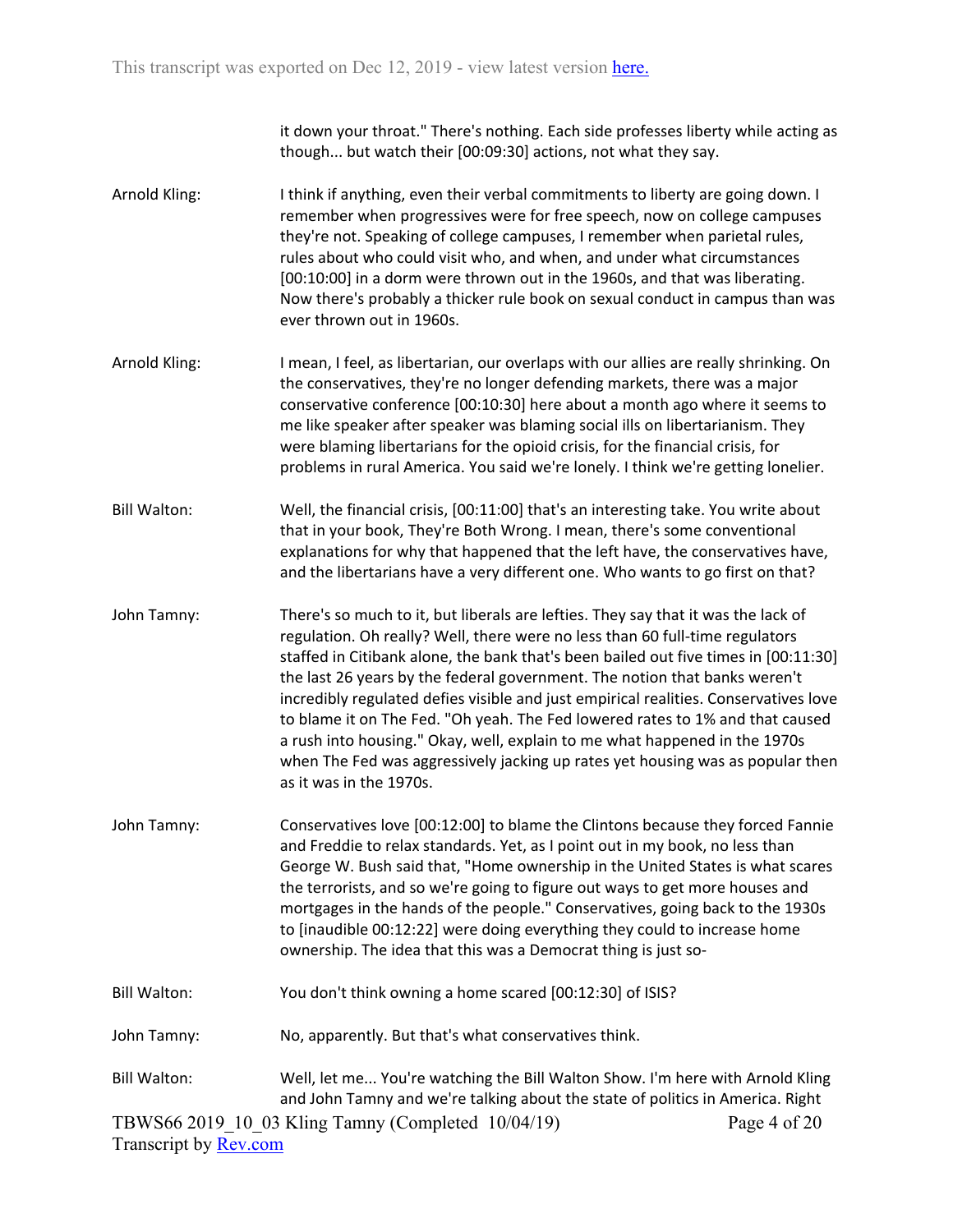it down your throat." There's nothing. Each side professes liberty while acting as though... but watch their [00:09:30] actions, not what they say.

- Arnold Kling: I think if anything, even their verbal commitments to liberty are going down. I remember when progressives were for free speech, now on college campuses they're not. Speaking of college campuses, I remember when parietal rules, rules about who could visit who, and when, and under what circumstances [00:10:00] in a dorm were thrown out in the 1960s, and that was liberating. Now there's probably a thicker rule book on sexual conduct in campus than was ever thrown out in 1960s.
- Arnold Kling: I mean, I feel, as libertarian, our overlaps with our allies are really shrinking. On the conservatives, they're no longer defending markets, there was a major conservative conference [00:10:30] here about a month ago where it seems to me like speaker after speaker was blaming social ills on libertarianism. They were blaming libertarians for the opioid crisis, for the financial crisis, for problems in rural America. You said we're lonely. I think we're getting lonelier.
- Bill Walton: Well, the financial crisis, [00:11:00] that's an interesting take. You write about that in your book, They're Both Wrong. I mean, there's some conventional explanations for why that happened that the left have, the conservatives have, and the libertarians have a very different one. Who wants to go first on that?
- John Tamny: There's so much to it, but liberals are lefties. They say that it was the lack of regulation. Oh really? Well, there were no less than 60 full-time regulators staffed in Citibank alone, the bank that's been bailed out five times in [00:11:30] the last 26 years by the federal government. The notion that banks weren't incredibly regulated defies visible and just empirical realities. Conservatives love to blame it on The Fed. "Oh yeah. The Fed lowered rates to 1% and that caused a rush into housing." Okay, well, explain to me what happened in the 1970s when The Fed was aggressively jacking up rates yet housing was as popular then as it was in the 1970s.
- John Tamny: Conservatives love [00:12:00] to blame the Clintons because they forced Fannie and Freddie to relax standards. Yet, as I point out in my book, no less than George W. Bush said that, "Home ownership in the United States is what scares the terrorists, and so we're going to figure out ways to get more houses and mortgages in the hands of the people." Conservatives, going back to the 1930s to [inaudible 00:12:22] were doing everything they could to increase home ownership. The idea that this was a Democrat thing is just so-
- Bill Walton: You don't think owning a home scared [00:12:30] of ISIS?
- John Tamny: No, apparently. But that's what conservatives think.
- TBWS66 2019\_10\_03 Kling Tamny (Completed 10/04/19) Transcript by [Rev.com](https://www.rev.com/) Page 4 of 20 Bill Walton: Well, let me... You're watching the Bill Walton Show. I'm here with Arnold Kling and John Tamny and we're talking about the state of politics in America. Right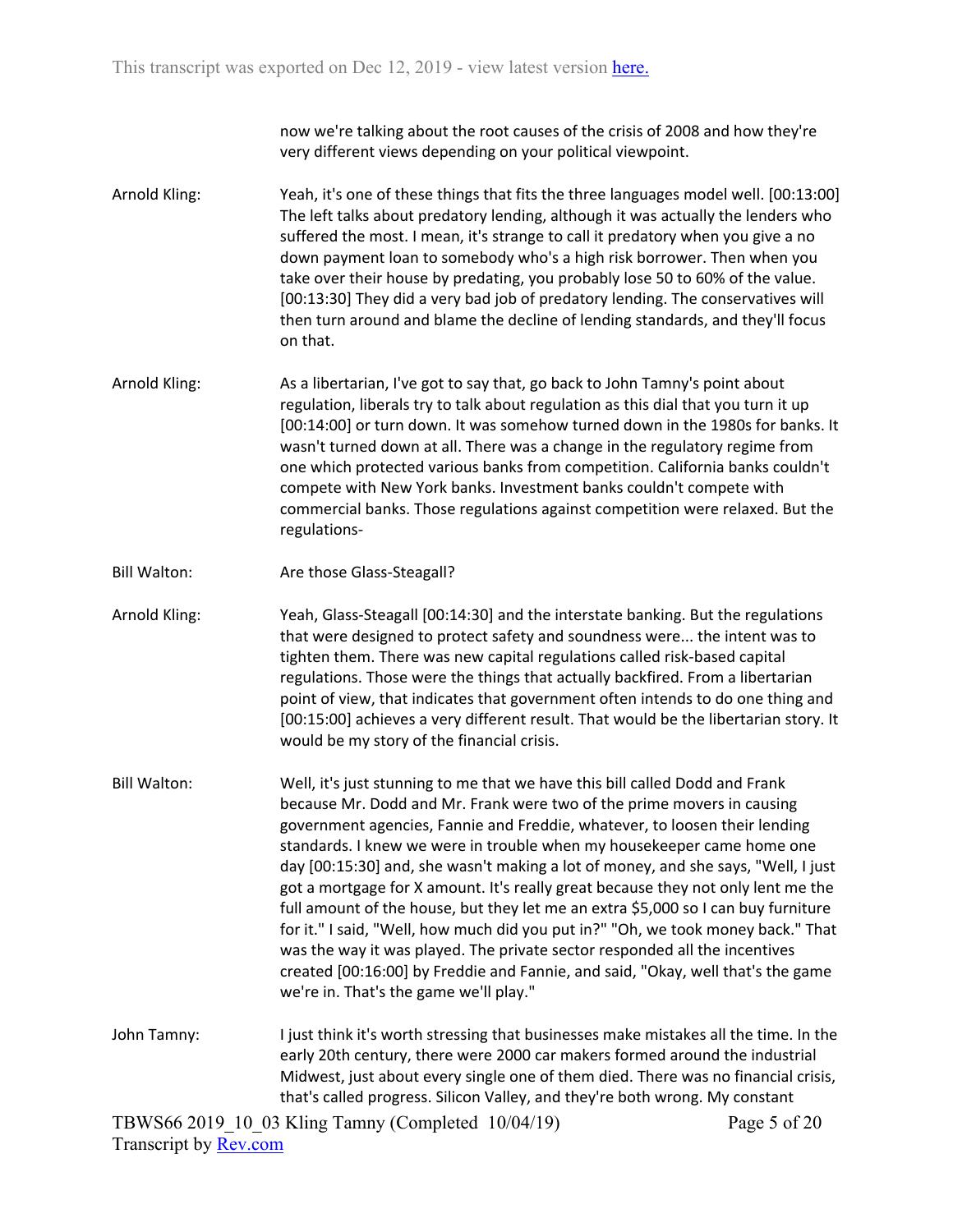now we're talking about the root causes of the crisis of 2008 and how they're very different views depending on your political viewpoint.

- Arnold Kling: Yeah, it's one of these things that fits the three languages model well. [00:13:00] The left talks about predatory lending, although it was actually the lenders who suffered the most. I mean, it's strange to call it predatory when you give a no down payment loan to somebody who's a high risk borrower. Then when you take over their house by predating, you probably lose 50 to 60% of the value. [00:13:30] They did a very bad job of predatory lending. The conservatives will then turn around and blame the decline of lending standards, and they'll focus on that.
- Arnold Kling: As a libertarian, I've got to say that, go back to John Tamny's point about regulation, liberals try to talk about regulation as this dial that you turn it up [00:14:00] or turn down. It was somehow turned down in the 1980s for banks. It wasn't turned down at all. There was a change in the regulatory regime from one which protected various banks from competition. California banks couldn't compete with New York banks. Investment banks couldn't compete with commercial banks. Those regulations against competition were relaxed. But the regulations-
- Bill Walton: Are those Glass-Steagall?

Arnold Kling: Yeah, Glass-Steagall [00:14:30] and the interstate banking. But the regulations that were designed to protect safety and soundness were... the intent was to tighten them. There was new capital regulations called risk-based capital regulations. Those were the things that actually backfired. From a libertarian point of view, that indicates that government often intends to do one thing and [00:15:00] achieves a very different result. That would be the libertarian story. It would be my story of the financial crisis.

- Bill Walton: Well, it's just stunning to me that we have this bill called Dodd and Frank because Mr. Dodd and Mr. Frank were two of the prime movers in causing government agencies, Fannie and Freddie, whatever, to loosen their lending standards. I knew we were in trouble when my housekeeper came home one day [00:15:30] and, she wasn't making a lot of money, and she says, "Well, I just got a mortgage for X amount. It's really great because they not only lent me the full amount of the house, but they let me an extra \$5,000 so I can buy furniture for it." I said, "Well, how much did you put in?" "Oh, we took money back." That was the way it was played. The private sector responded all the incentives created [00:16:00] by Freddie and Fannie, and said, "Okay, well that's the game we're in. That's the game we'll play."
- John Tamny: I just think it's worth stressing that businesses make mistakes all the time. In the early 20th century, there were 2000 car makers formed around the industrial Midwest, just about every single one of them died. There was no financial crisis, that's called progress. Silicon Valley, and they're both wrong. My constant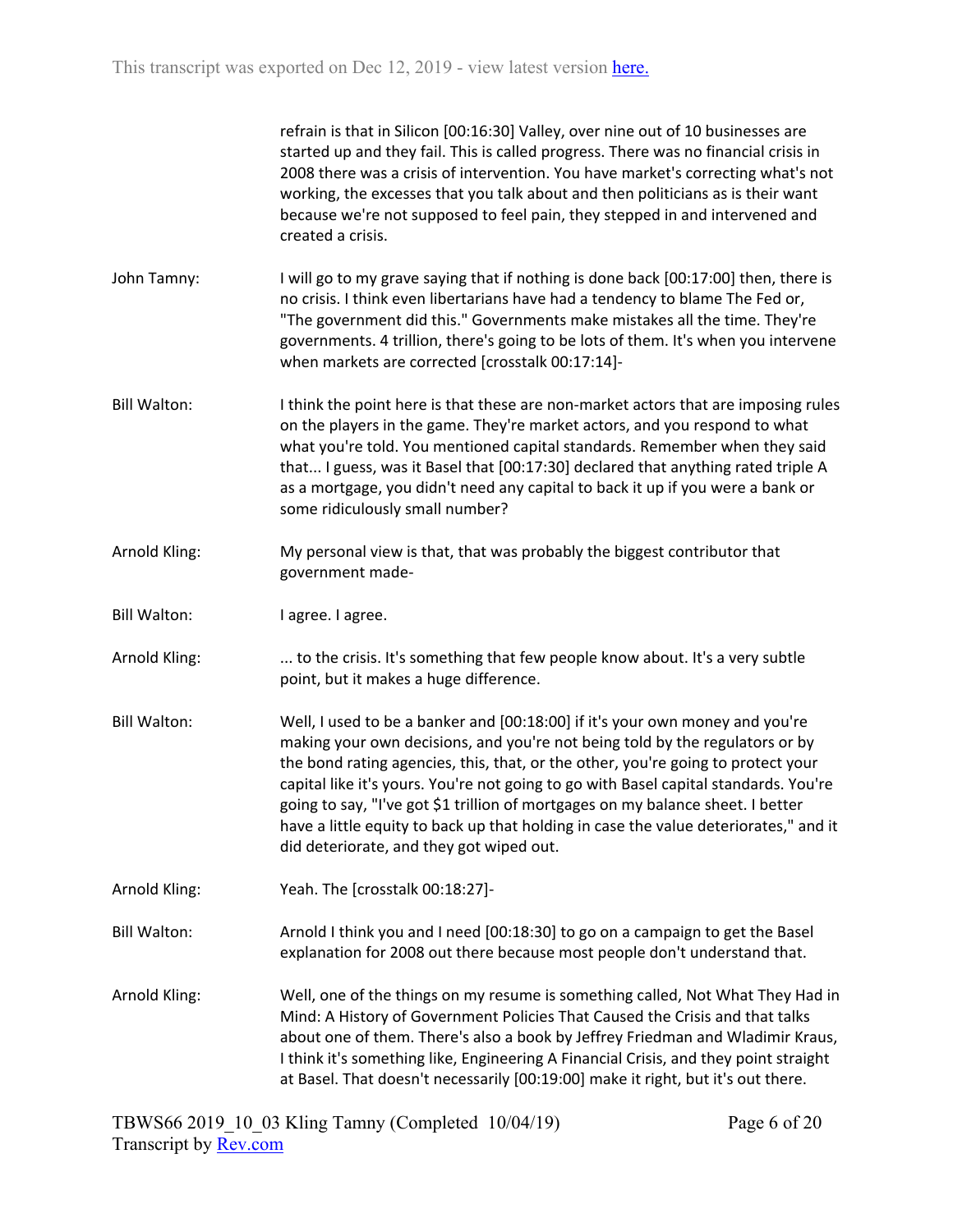refrain is that in Silicon [00:16:30] Valley, over nine out of 10 businesses are started up and they fail. This is called progress. There was no financial crisis in 2008 there was a crisis of intervention. You have market's correcting what's not working, the excesses that you talk about and then politicians as is their want because we're not supposed to feel pain, they stepped in and intervened and created a crisis.

- John Tamny: I will go to my grave saying that if nothing is done back [00:17:00] then, there is no crisis. I think even libertarians have had a tendency to blame The Fed or, "The government did this." Governments make mistakes all the time. They're governments. 4 trillion, there's going to be lots of them. It's when you intervene when markets are corrected [crosstalk 00:17:14]-
- Bill Walton: I think the point here is that these are non-market actors that are imposing rules on the players in the game. They're market actors, and you respond to what what you're told. You mentioned capital standards. Remember when they said that... I guess, was it Basel that [00:17:30] declared that anything rated triple A as a mortgage, you didn't need any capital to back it up if you were a bank or some ridiculously small number?
- Arnold Kling: My personal view is that, that was probably the biggest contributor that government made-
- Bill Walton: I agree. I agree.
- Arnold Kling: ... to the crisis. It's something that few people know about. It's a very subtle point, but it makes a huge difference.
- Bill Walton: Well, I used to be a banker and [00:18:00] if it's your own money and you're making your own decisions, and you're not being told by the regulators or by the bond rating agencies, this, that, or the other, you're going to protect your capital like it's yours. You're not going to go with Basel capital standards. You're going to say, "I've got \$1 trillion of mortgages on my balance sheet. I better have a little equity to back up that holding in case the value deteriorates," and it did deteriorate, and they got wiped out.
- Arnold Kling: Yeah. The [crosstalk 00:18:27]-
- Bill Walton: Arnold I think you and I need [00:18:30] to go on a campaign to get the Basel explanation for 2008 out there because most people don't understand that.
- Arnold Kling: Well, one of the things on my resume is something called, Not What They Had in Mind: A History of Government Policies That Caused the Crisis and that talks about one of them. There's also a book by Jeffrey Friedman and Wladimir Kraus, I think it's something like, Engineering A Financial Crisis, and they point straight at Basel. That doesn't necessarily [00:19:00] make it right, but it's out there.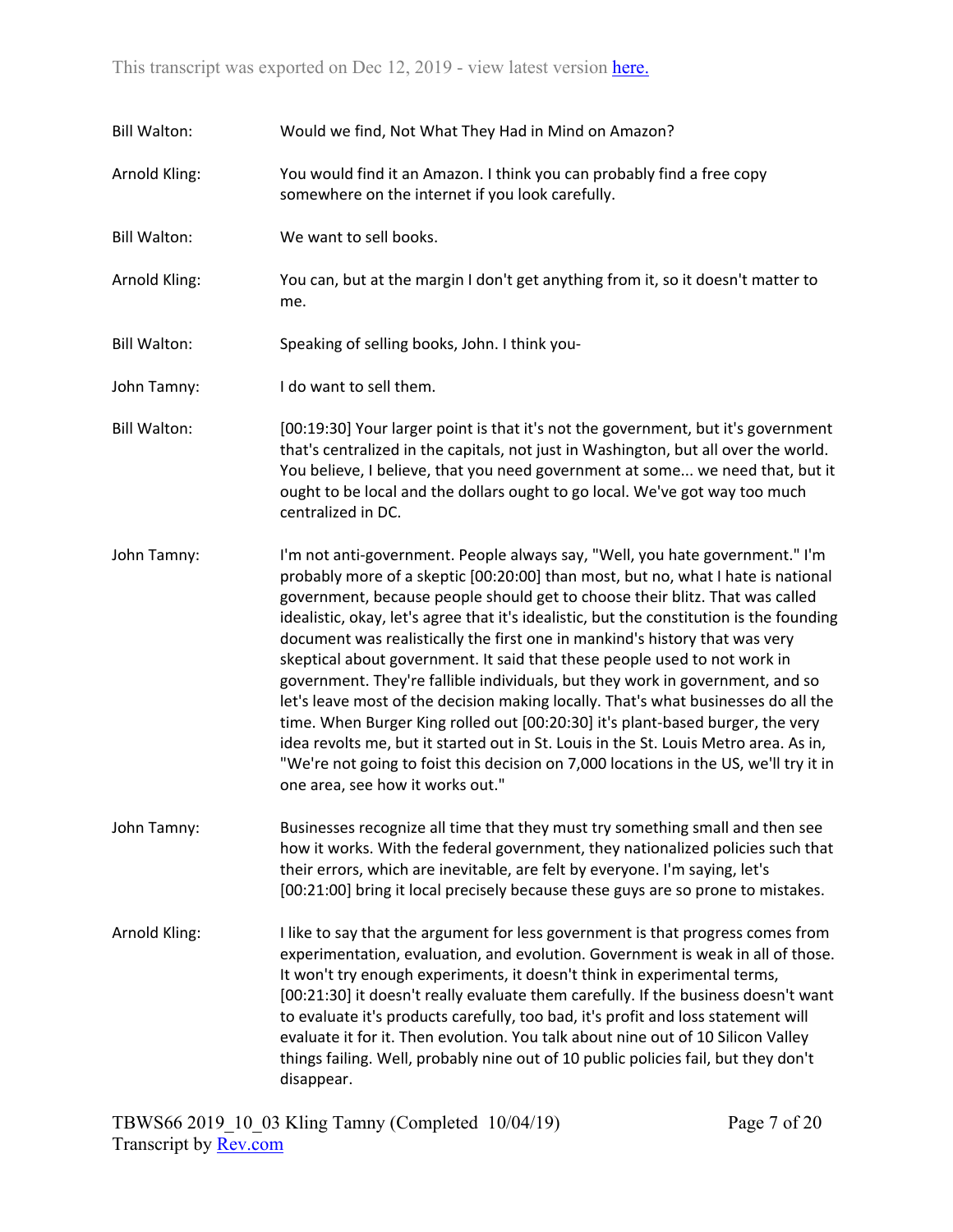| <b>Bill Walton:</b> | Would we find, Not What They Had in Mind on Amazon?                                                                                                                                                                                                                                                                                                                                                                                                                                                                                                                                                                                                                                                                                                                                                                                                                                                                                                                                    |
|---------------------|----------------------------------------------------------------------------------------------------------------------------------------------------------------------------------------------------------------------------------------------------------------------------------------------------------------------------------------------------------------------------------------------------------------------------------------------------------------------------------------------------------------------------------------------------------------------------------------------------------------------------------------------------------------------------------------------------------------------------------------------------------------------------------------------------------------------------------------------------------------------------------------------------------------------------------------------------------------------------------------|
| Arnold Kling:       | You would find it an Amazon. I think you can probably find a free copy<br>somewhere on the internet if you look carefully.                                                                                                                                                                                                                                                                                                                                                                                                                                                                                                                                                                                                                                                                                                                                                                                                                                                             |
| <b>Bill Walton:</b> | We want to sell books.                                                                                                                                                                                                                                                                                                                                                                                                                                                                                                                                                                                                                                                                                                                                                                                                                                                                                                                                                                 |
| Arnold Kling:       | You can, but at the margin I don't get anything from it, so it doesn't matter to<br>me.                                                                                                                                                                                                                                                                                                                                                                                                                                                                                                                                                                                                                                                                                                                                                                                                                                                                                                |
| <b>Bill Walton:</b> | Speaking of selling books, John. I think you-                                                                                                                                                                                                                                                                                                                                                                                                                                                                                                                                                                                                                                                                                                                                                                                                                                                                                                                                          |
| John Tamny:         | I do want to sell them.                                                                                                                                                                                                                                                                                                                                                                                                                                                                                                                                                                                                                                                                                                                                                                                                                                                                                                                                                                |
| <b>Bill Walton:</b> | [00:19:30] Your larger point is that it's not the government, but it's government<br>that's centralized in the capitals, not just in Washington, but all over the world.<br>You believe, I believe, that you need government at some we need that, but it<br>ought to be local and the dollars ought to go local. We've got way too much<br>centralized in DC.                                                                                                                                                                                                                                                                                                                                                                                                                                                                                                                                                                                                                         |
| John Tamny:         | I'm not anti-government. People always say, "Well, you hate government." I'm<br>probably more of a skeptic [00:20:00] than most, but no, what I hate is national<br>government, because people should get to choose their blitz. That was called<br>idealistic, okay, let's agree that it's idealistic, but the constitution is the founding<br>document was realistically the first one in mankind's history that was very<br>skeptical about government. It said that these people used to not work in<br>government. They're fallible individuals, but they work in government, and so<br>let's leave most of the decision making locally. That's what businesses do all the<br>time. When Burger King rolled out [00:20:30] it's plant-based burger, the very<br>idea revolts me, but it started out in St. Louis in the St. Louis Metro area. As in,<br>"We're not going to foist this decision on 7,000 locations in the US, we'll try it in<br>one area, see how it works out." |
| John Tamny:         | Businesses recognize all time that they must try something small and then see<br>how it works. With the federal government, they nationalized policies such that<br>their errors, which are inevitable, are felt by everyone. I'm saying, let's<br>[00:21:00] bring it local precisely because these guys are so prone to mistakes.                                                                                                                                                                                                                                                                                                                                                                                                                                                                                                                                                                                                                                                    |
| Arnold Kling:       | I like to say that the argument for less government is that progress comes from<br>experimentation, evaluation, and evolution. Government is weak in all of those.<br>It won't try enough experiments, it doesn't think in experimental terms,<br>[00:21:30] it doesn't really evaluate them carefully. If the business doesn't want<br>to evaluate it's products carefully, too bad, it's profit and loss statement will<br>evaluate it for it. Then evolution. You talk about nine out of 10 Silicon Valley<br>things failing. Well, probably nine out of 10 public policies fail, but they don't<br>disappear.                                                                                                                                                                                                                                                                                                                                                                      |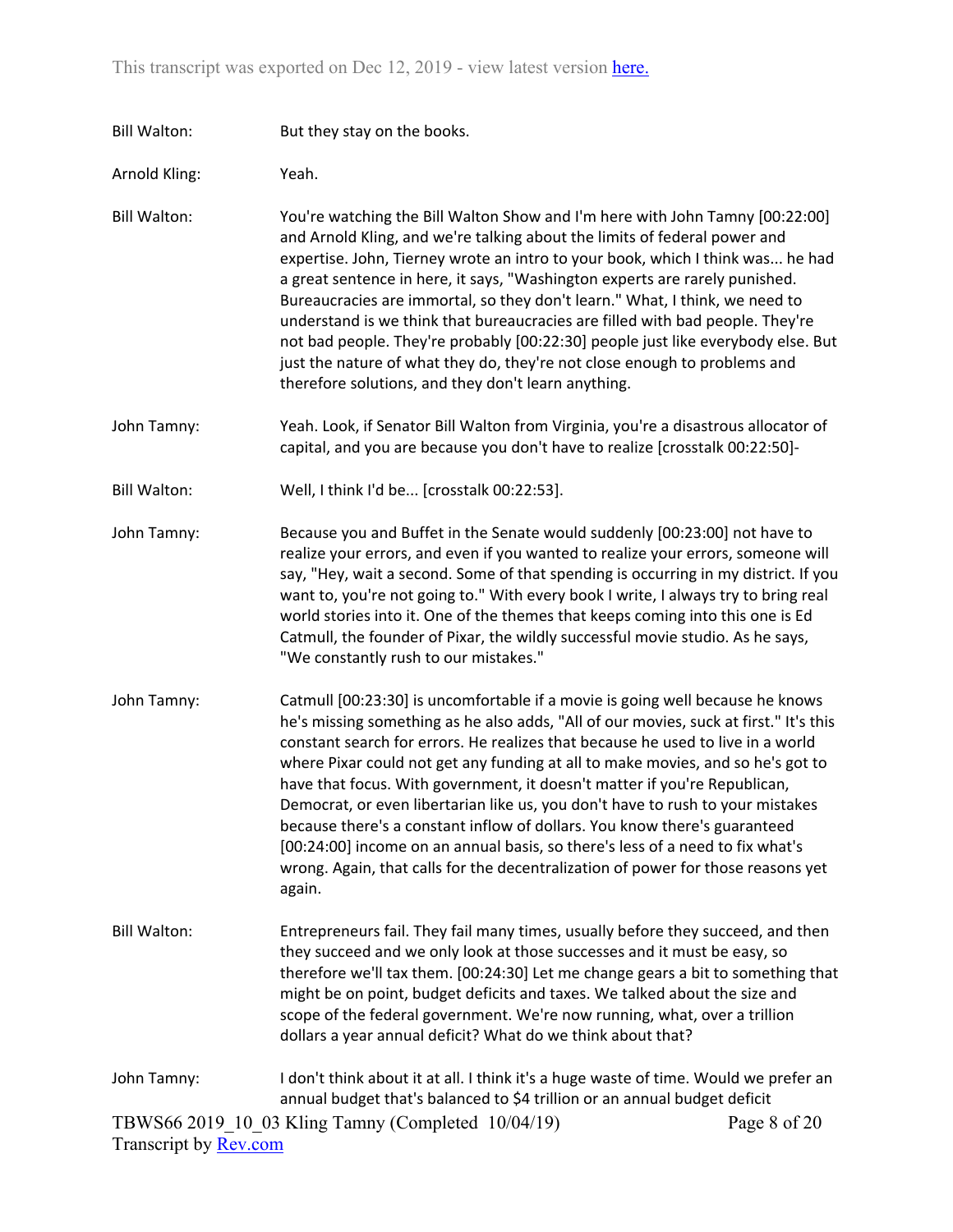Bill Walton: But they stay on the books.

Arnold Kling: Yeah.

Bill Walton: You're watching the Bill Walton Show and I'm here with John Tamny [00:22:00] and Arnold Kling, and we're talking about the limits of federal power and expertise. John, Tierney wrote an intro to your book, which I think was... he had a great sentence in here, it says, "Washington experts are rarely punished. Bureaucracies are immortal, so they don't learn." What, I think, we need to understand is we think that bureaucracies are filled with bad people. They're not bad people. They're probably [00:22:30] people just like everybody else. But just the nature of what they do, they're not close enough to problems and therefore solutions, and they don't learn anything.

- John Tamny: Yeah. Look, if Senator Bill Walton from Virginia, you're a disastrous allocator of capital, and you are because you don't have to realize [crosstalk 00:22:50]-
- Bill Walton: Well, I think I'd be... [crosstalk 00:22:53].
- John Tamny: Because you and Buffet in the Senate would suddenly [00:23:00] not have to realize your errors, and even if you wanted to realize your errors, someone will say, "Hey, wait a second. Some of that spending is occurring in my district. If you want to, you're not going to." With every book I write, I always try to bring real world stories into it. One of the themes that keeps coming into this one is Ed Catmull, the founder of Pixar, the wildly successful movie studio. As he says, "We constantly rush to our mistakes."
- John Tamny: Catmull [00:23:30] is uncomfortable if a movie is going well because he knows he's missing something as he also adds, "All of our movies, suck at first." It's this constant search for errors. He realizes that because he used to live in a world where Pixar could not get any funding at all to make movies, and so he's got to have that focus. With government, it doesn't matter if you're Republican, Democrat, or even libertarian like us, you don't have to rush to your mistakes because there's a constant inflow of dollars. You know there's guaranteed [00:24:00] income on an annual basis, so there's less of a need to fix what's wrong. Again, that calls for the decentralization of power for those reasons yet again.
- Bill Walton: Entrepreneurs fail. They fail many times, usually before they succeed, and then they succeed and we only look at those successes and it must be easy, so therefore we'll tax them. [00:24:30] Let me change gears a bit to something that might be on point, budget deficits and taxes. We talked about the size and scope of the federal government. We're now running, what, over a trillion dollars a year annual deficit? What do we think about that?

## TBWS66 2019\_10\_03 Kling Tamny (Completed 10/04/19) Transcript by [Rev.com](https://www.rev.com/) Page 8 of 20 John Tamny: I don't think about it at all. I think it's a huge waste of time. Would we prefer an annual budget that's balanced to \$4 trillion or an annual budget deficit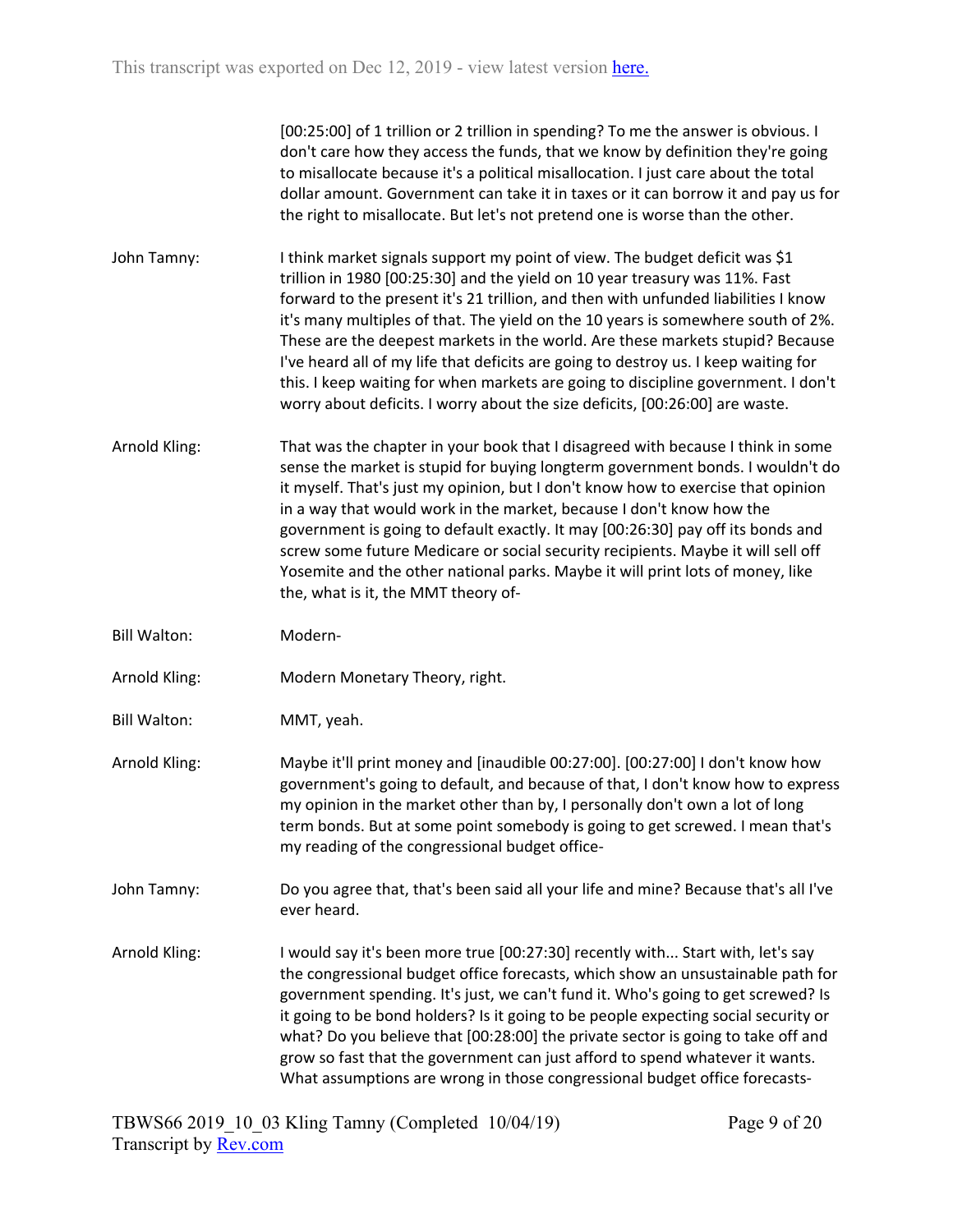[00:25:00] of 1 trillion or 2 trillion in spending? To me the answer is obvious. I don't care how they access the funds, that we know by definition they're going to misallocate because it's a political misallocation. I just care about the total dollar amount. Government can take it in taxes or it can borrow it and pay us for the right to misallocate. But let's not pretend one is worse than the other.

- John Tamny: I think market signals support my point of view. The budget deficit was \$1 trillion in 1980 [00:25:30] and the yield on 10 year treasury was 11%. Fast forward to the present it's 21 trillion, and then with unfunded liabilities I know it's many multiples of that. The yield on the 10 years is somewhere south of 2%. These are the deepest markets in the world. Are these markets stupid? Because I've heard all of my life that deficits are going to destroy us. I keep waiting for this. I keep waiting for when markets are going to discipline government. I don't worry about deficits. I worry about the size deficits, [00:26:00] are waste.
- Arnold Kling: That was the chapter in your book that I disagreed with because I think in some sense the market is stupid for buying longterm government bonds. I wouldn't do it myself. That's just my opinion, but I don't know how to exercise that opinion in a way that would work in the market, because I don't know how the government is going to default exactly. It may [00:26:30] pay off its bonds and screw some future Medicare or social security recipients. Maybe it will sell off Yosemite and the other national parks. Maybe it will print lots of money, like the, what is it, the MMT theory of-
- Bill Walton: Modern-
- Arnold Kling: Modern Monetary Theory, right.
- Bill Walton: MMT, yeah.
- Arnold Kling: Maybe it'll print money and [inaudible 00:27:00]. [00:27:00] I don't know how government's going to default, and because of that, I don't know how to express my opinion in the market other than by, I personally don't own a lot of long term bonds. But at some point somebody is going to get screwed. I mean that's my reading of the congressional budget office-
- John Tamny: Do you agree that, that's been said all your life and mine? Because that's all I've ever heard.
- Arnold Kling: I would say it's been more true [00:27:30] recently with... Start with, let's say the congressional budget office forecasts, which show an unsustainable path for government spending. It's just, we can't fund it. Who's going to get screwed? Is it going to be bond holders? Is it going to be people expecting social security or what? Do you believe that [00:28:00] the private sector is going to take off and grow so fast that the government can just afford to spend whatever it wants. What assumptions are wrong in those congressional budget office forecasts-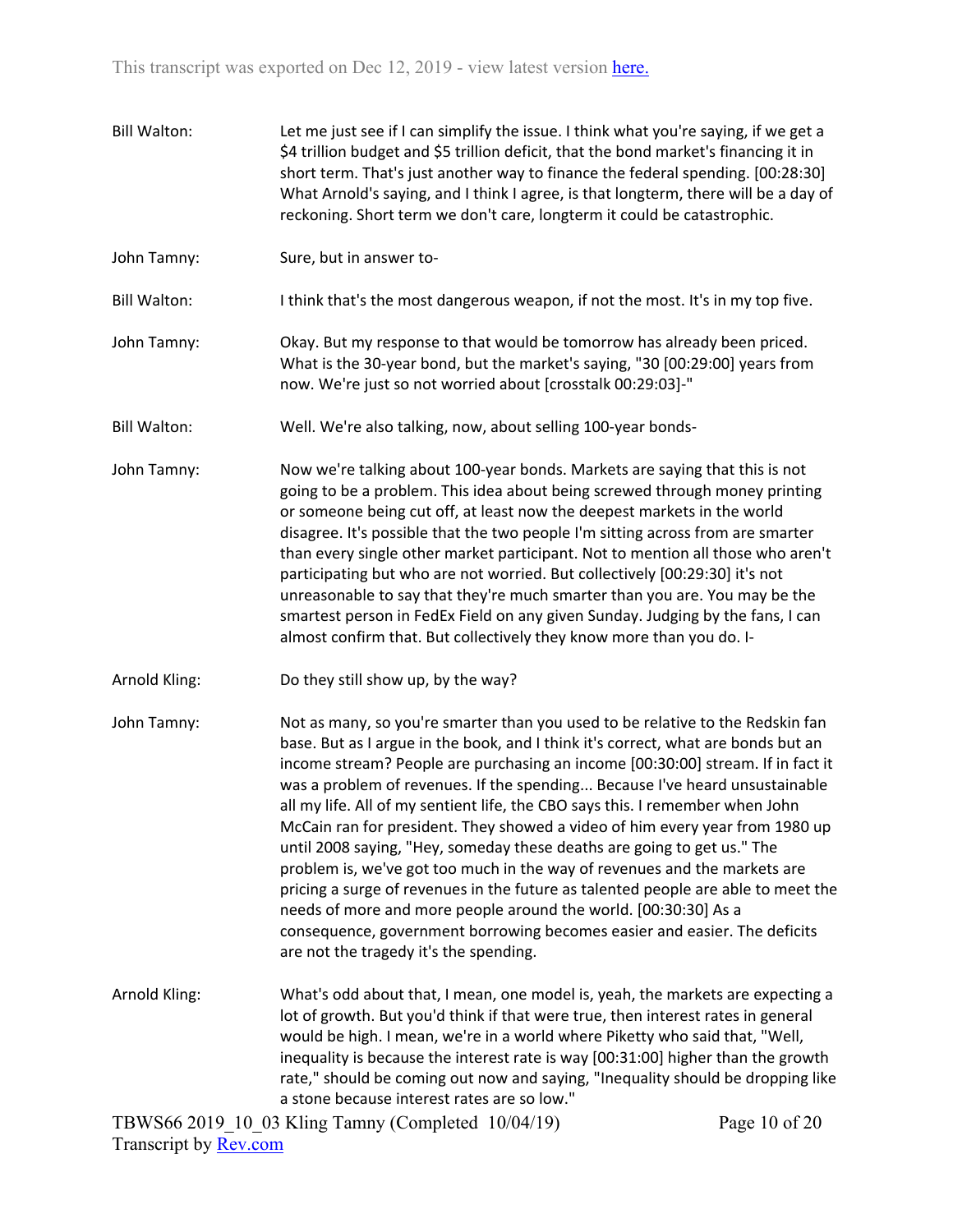- Bill Walton: Let me just see if I can simplify the issue. I think what you're saying, if we get a \$4 trillion budget and \$5 trillion deficit, that the bond market's financing it in short term. That's just another way to finance the federal spending. [00:28:30] What Arnold's saying, and I think I agree, is that longterm, there will be a day of reckoning. Short term we don't care, longterm it could be catastrophic.
- John Tamny: Sure, but in answer to-
- Bill Walton: I think that's the most dangerous weapon, if not the most. It's in my top five.
- John Tamny: Okay. But my response to that would be tomorrow has already been priced. What is the 30-year bond, but the market's saying, "30 [00:29:00] years from now. We're just so not worried about [crosstalk 00:29:03]-"
- Bill Walton: Well. We're also talking, now, about selling 100-year bonds-
- John Tamny: Now we're talking about 100-year bonds. Markets are saying that this is not going to be a problem. This idea about being screwed through money printing or someone being cut off, at least now the deepest markets in the world disagree. It's possible that the two people I'm sitting across from are smarter than every single other market participant. Not to mention all those who aren't participating but who are not worried. But collectively [00:29:30] it's not unreasonable to say that they're much smarter than you are. You may be the smartest person in FedEx Field on any given Sunday. Judging by the fans, I can almost confirm that. But collectively they know more than you do. I-
- Arnold Kling: Do they still show up, by the way?
- John Tamny: Not as many, so you're smarter than you used to be relative to the Redskin fan base. But as I argue in the book, and I think it's correct, what are bonds but an income stream? People are purchasing an income [00:30:00] stream. If in fact it was a problem of revenues. If the spending... Because I've heard unsustainable all my life. All of my sentient life, the CBO says this. I remember when John McCain ran for president. They showed a video of him every year from 1980 up until 2008 saying, "Hey, someday these deaths are going to get us." The problem is, we've got too much in the way of revenues and the markets are pricing a surge of revenues in the future as talented people are able to meet the needs of more and more people around the world. [00:30:30] As a consequence, government borrowing becomes easier and easier. The deficits are not the tragedy it's the spending.
- Arnold Kling: What's odd about that, I mean, one model is, yeah, the markets are expecting a lot of growth. But you'd think if that were true, then interest rates in general would be high. I mean, we're in a world where Piketty who said that, "Well, inequality is because the interest rate is way [00:31:00] higher than the growth rate," should be coming out now and saying, "Inequality should be dropping like a stone because interest rates are so low."

Page 10 of 20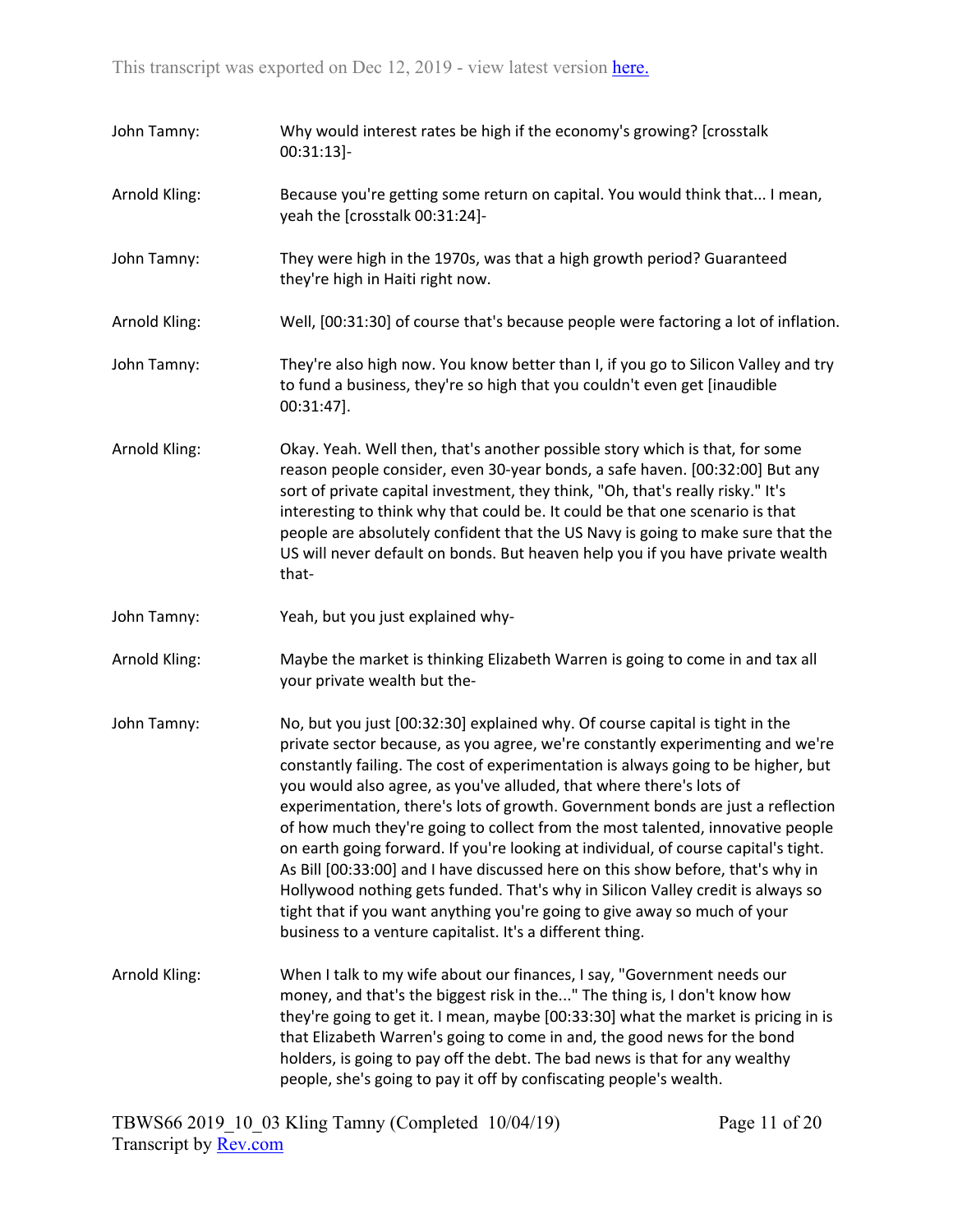| John Tamny:   | Why would interest rates be high if the economy's growing? [crosstalk<br>$00:31:13$ ]-                                                                                                                                                                                                                                                                                                                                                                                                                                                                                                                                                                                                                                                                                                                                                                                                                 |
|---------------|--------------------------------------------------------------------------------------------------------------------------------------------------------------------------------------------------------------------------------------------------------------------------------------------------------------------------------------------------------------------------------------------------------------------------------------------------------------------------------------------------------------------------------------------------------------------------------------------------------------------------------------------------------------------------------------------------------------------------------------------------------------------------------------------------------------------------------------------------------------------------------------------------------|
| Arnold Kling: | Because you're getting some return on capital. You would think that I mean,<br>yeah the [crosstalk 00:31:24]-                                                                                                                                                                                                                                                                                                                                                                                                                                                                                                                                                                                                                                                                                                                                                                                          |
| John Tamny:   | They were high in the 1970s, was that a high growth period? Guaranteed<br>they're high in Haiti right now.                                                                                                                                                                                                                                                                                                                                                                                                                                                                                                                                                                                                                                                                                                                                                                                             |
| Arnold Kling: | Well, [00:31:30] of course that's because people were factoring a lot of inflation.                                                                                                                                                                                                                                                                                                                                                                                                                                                                                                                                                                                                                                                                                                                                                                                                                    |
| John Tamny:   | They're also high now. You know better than I, if you go to Silicon Valley and try<br>to fund a business, they're so high that you couldn't even get [inaudible<br>00:31:47].                                                                                                                                                                                                                                                                                                                                                                                                                                                                                                                                                                                                                                                                                                                          |
| Arnold Kling: | Okay. Yeah. Well then, that's another possible story which is that, for some<br>reason people consider, even 30-year bonds, a safe haven. [00:32:00] But any<br>sort of private capital investment, they think, "Oh, that's really risky." It's<br>interesting to think why that could be. It could be that one scenario is that<br>people are absolutely confident that the US Navy is going to make sure that the<br>US will never default on bonds. But heaven help you if you have private wealth<br>that-                                                                                                                                                                                                                                                                                                                                                                                         |
| John Tamny:   | Yeah, but you just explained why-                                                                                                                                                                                                                                                                                                                                                                                                                                                                                                                                                                                                                                                                                                                                                                                                                                                                      |
| Arnold Kling: | Maybe the market is thinking Elizabeth Warren is going to come in and tax all<br>your private wealth but the-                                                                                                                                                                                                                                                                                                                                                                                                                                                                                                                                                                                                                                                                                                                                                                                          |
| John Tamny:   | No, but you just [00:32:30] explained why. Of course capital is tight in the<br>private sector because, as you agree, we're constantly experimenting and we're<br>constantly failing. The cost of experimentation is always going to be higher, but<br>you would also agree, as you've alluded, that where there's lots of<br>experimentation, there's lots of growth. Government bonds are just a reflection<br>of how much they're going to collect from the most talented, innovative people<br>on earth going forward. If you're looking at individual, of course capital's tight.<br>As Bill [00:33:00] and I have discussed here on this show before, that's why in<br>Hollywood nothing gets funded. That's why in Silicon Valley credit is always so<br>tight that if you want anything you're going to give away so much of your<br>business to a venture capitalist. It's a different thing. |
| Arnold Kling: | When I talk to my wife about our finances, I say, "Government needs our<br>money, and that's the biggest risk in the" The thing is, I don't know how<br>they're going to get it. I mean, maybe [00:33:30] what the market is pricing in is<br>that Elizabeth Warren's going to come in and, the good news for the bond<br>holders, is going to pay off the debt. The bad news is that for any wealthy<br>people, she's going to pay it off by confiscating people's wealth.                                                                                                                                                                                                                                                                                                                                                                                                                            |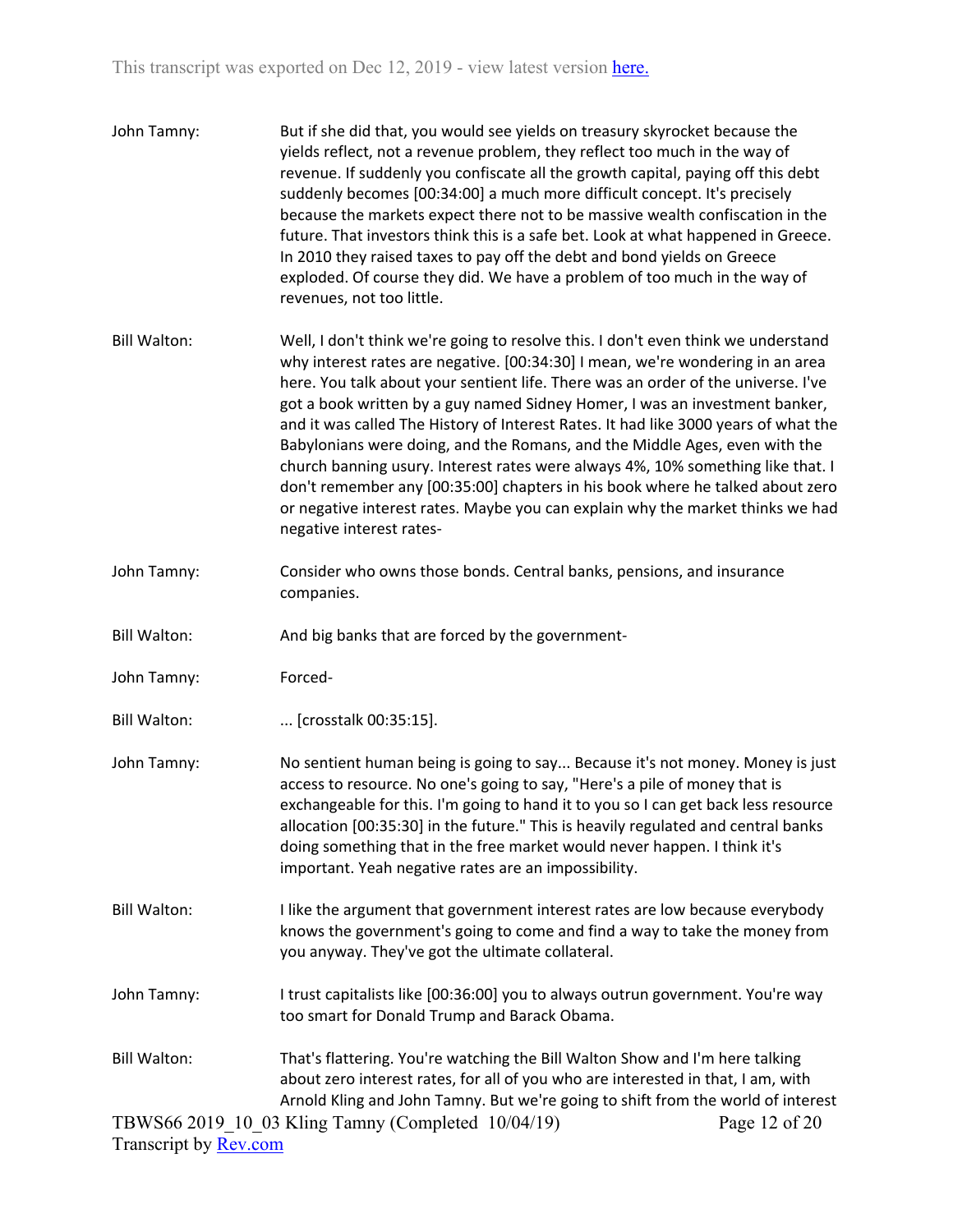| John Tamny:           | But if she did that, you would see yields on treasury skyrocket because the<br>yields reflect, not a revenue problem, they reflect too much in the way of<br>revenue. If suddenly you confiscate all the growth capital, paying off this debt<br>suddenly becomes [00:34:00] a much more difficult concept. It's precisely<br>because the markets expect there not to be massive wealth confiscation in the<br>future. That investors think this is a safe bet. Look at what happened in Greece.<br>In 2010 they raised taxes to pay off the debt and bond yields on Greece<br>exploded. Of course they did. We have a problem of too much in the way of<br>revenues, not too little.                                                                                                          |
|-----------------------|------------------------------------------------------------------------------------------------------------------------------------------------------------------------------------------------------------------------------------------------------------------------------------------------------------------------------------------------------------------------------------------------------------------------------------------------------------------------------------------------------------------------------------------------------------------------------------------------------------------------------------------------------------------------------------------------------------------------------------------------------------------------------------------------|
| <b>Bill Walton:</b>   | Well, I don't think we're going to resolve this. I don't even think we understand<br>why interest rates are negative. [00:34:30] I mean, we're wondering in an area<br>here. You talk about your sentient life. There was an order of the universe. I've<br>got a book written by a guy named Sidney Homer, I was an investment banker,<br>and it was called The History of Interest Rates. It had like 3000 years of what the<br>Babylonians were doing, and the Romans, and the Middle Ages, even with the<br>church banning usury. Interest rates were always 4%, 10% something like that. I<br>don't remember any [00:35:00] chapters in his book where he talked about zero<br>or negative interest rates. Maybe you can explain why the market thinks we had<br>negative interest rates- |
| John Tamny:           | Consider who owns those bonds. Central banks, pensions, and insurance<br>companies.                                                                                                                                                                                                                                                                                                                                                                                                                                                                                                                                                                                                                                                                                                            |
| <b>Bill Walton:</b>   | And big banks that are forced by the government-                                                                                                                                                                                                                                                                                                                                                                                                                                                                                                                                                                                                                                                                                                                                               |
| John Tamny:           | Forced-                                                                                                                                                                                                                                                                                                                                                                                                                                                                                                                                                                                                                                                                                                                                                                                        |
| <b>Bill Walton:</b>   | [crosstalk 00:35:15].                                                                                                                                                                                                                                                                                                                                                                                                                                                                                                                                                                                                                                                                                                                                                                          |
| John Tamny:           | No sentient human being is going to say Because it's not money. Money is just<br>access to resource. No one's going to say, "Here's a pile of money that is<br>exchangeable for this. I'm going to hand it to you so I can get back less resource<br>allocation [00:35:30] in the future." This is heavily regulated and central banks<br>doing something that in the free market would never happen. I think it's<br>important. Yeah negative rates are an impossibility.                                                                                                                                                                                                                                                                                                                     |
| <b>Bill Walton:</b>   | I like the argument that government interest rates are low because everybody<br>knows the government's going to come and find a way to take the money from<br>you anyway. They've got the ultimate collateral.                                                                                                                                                                                                                                                                                                                                                                                                                                                                                                                                                                                 |
| John Tamny:           | I trust capitalists like [00:36:00] you to always outrun government. You're way<br>too smart for Donald Trump and Barack Obama.                                                                                                                                                                                                                                                                                                                                                                                                                                                                                                                                                                                                                                                                |
| <b>Bill Walton:</b>   | That's flattering. You're watching the Bill Walton Show and I'm here talking<br>about zero interest rates, for all of you who are interested in that, I am, with<br>Arnold Kling and John Tamny. But we're going to shift from the world of interest                                                                                                                                                                                                                                                                                                                                                                                                                                                                                                                                           |
| Transcript by Rev.com | TBWS66 2019 10 03 Kling Tamny (Completed 10/04/19)<br>Page 12 of 20                                                                                                                                                                                                                                                                                                                                                                                                                                                                                                                                                                                                                                                                                                                            |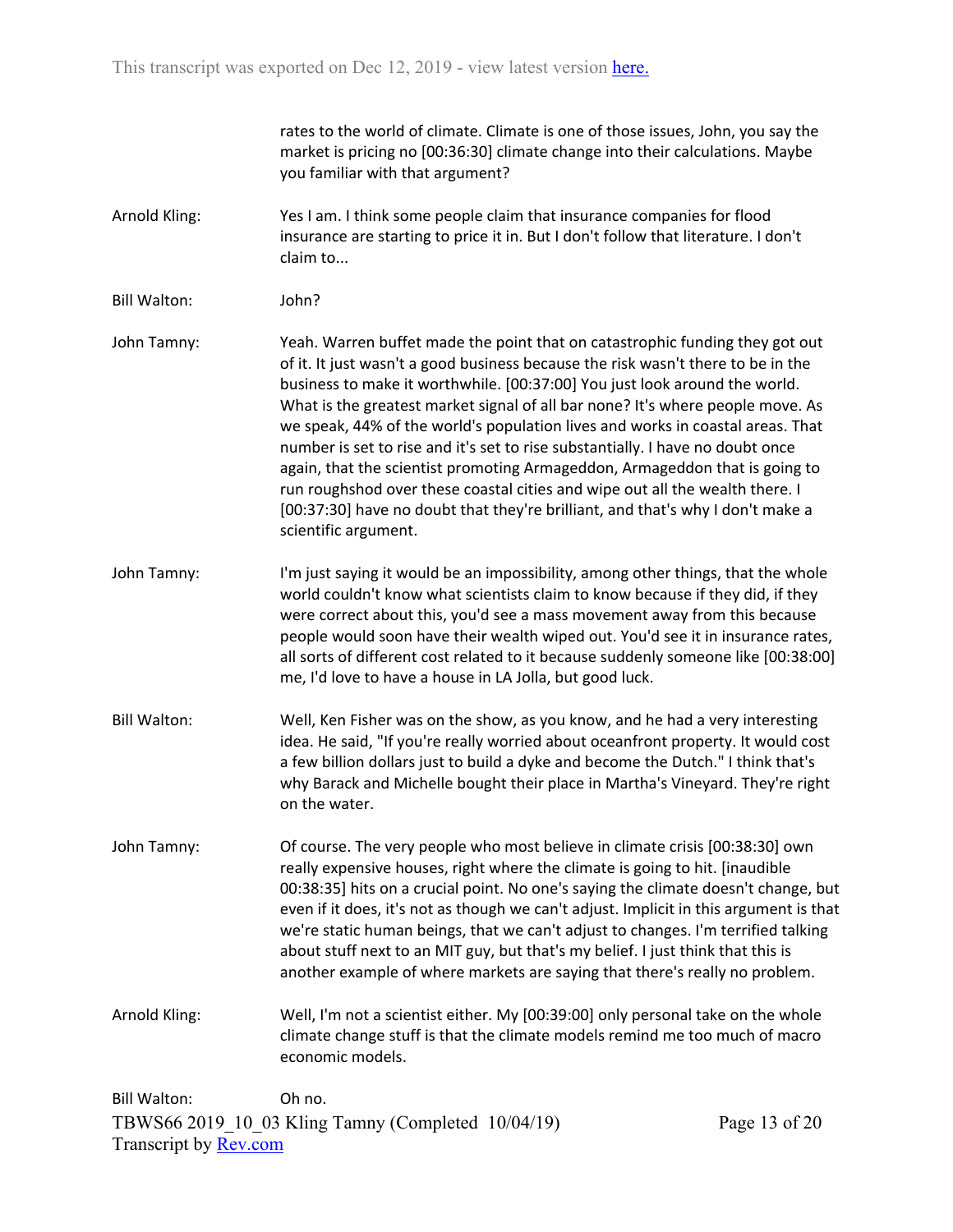rates to the world of climate. Climate is one of those issues, John, you say the market is pricing no [00:36:30] climate change into their calculations. Maybe you familiar with that argument?

- Arnold Kling: Yes I am. I think some people claim that insurance companies for flood insurance are starting to price it in. But I don't follow that literature. I don't claim to...
- Bill Walton: John?
- John Tamny: Yeah. Warren buffet made the point that on catastrophic funding they got out of it. It just wasn't a good business because the risk wasn't there to be in the business to make it worthwhile. [00:37:00] You just look around the world. What is the greatest market signal of all bar none? It's where people move. As we speak, 44% of the world's population lives and works in coastal areas. That number is set to rise and it's set to rise substantially. I have no doubt once again, that the scientist promoting Armageddon, Armageddon that is going to run roughshod over these coastal cities and wipe out all the wealth there. I [00:37:30] have no doubt that they're brilliant, and that's why I don't make a scientific argument.
- John Tamny: I'm just saying it would be an impossibility, among other things, that the whole world couldn't know what scientists claim to know because if they did, if they were correct about this, you'd see a mass movement away from this because people would soon have their wealth wiped out. You'd see it in insurance rates, all sorts of different cost related to it because suddenly someone like [00:38:00] me, I'd love to have a house in LA Jolla, but good luck.
- Bill Walton: Well, Ken Fisher was on the show, as you know, and he had a very interesting idea. He said, "If you're really worried about oceanfront property. It would cost a few billion dollars just to build a dyke and become the Dutch." I think that's why Barack and Michelle bought their place in Martha's Vineyard. They're right on the water.
- John Tamny: Of course. The very people who most believe in climate crisis [00:38:30] own really expensive houses, right where the climate is going to hit. [inaudible 00:38:35] hits on a crucial point. No one's saying the climate doesn't change, but even if it does, it's not as though we can't adjust. Implicit in this argument is that we're static human beings, that we can't adjust to changes. I'm terrified talking about stuff next to an MIT guy, but that's my belief. I just think that this is another example of where markets are saying that there's really no problem.
- Arnold Kling: Well, I'm not a scientist either. My [00:39:00] only personal take on the whole climate change stuff is that the climate models remind me too much of macro economic models.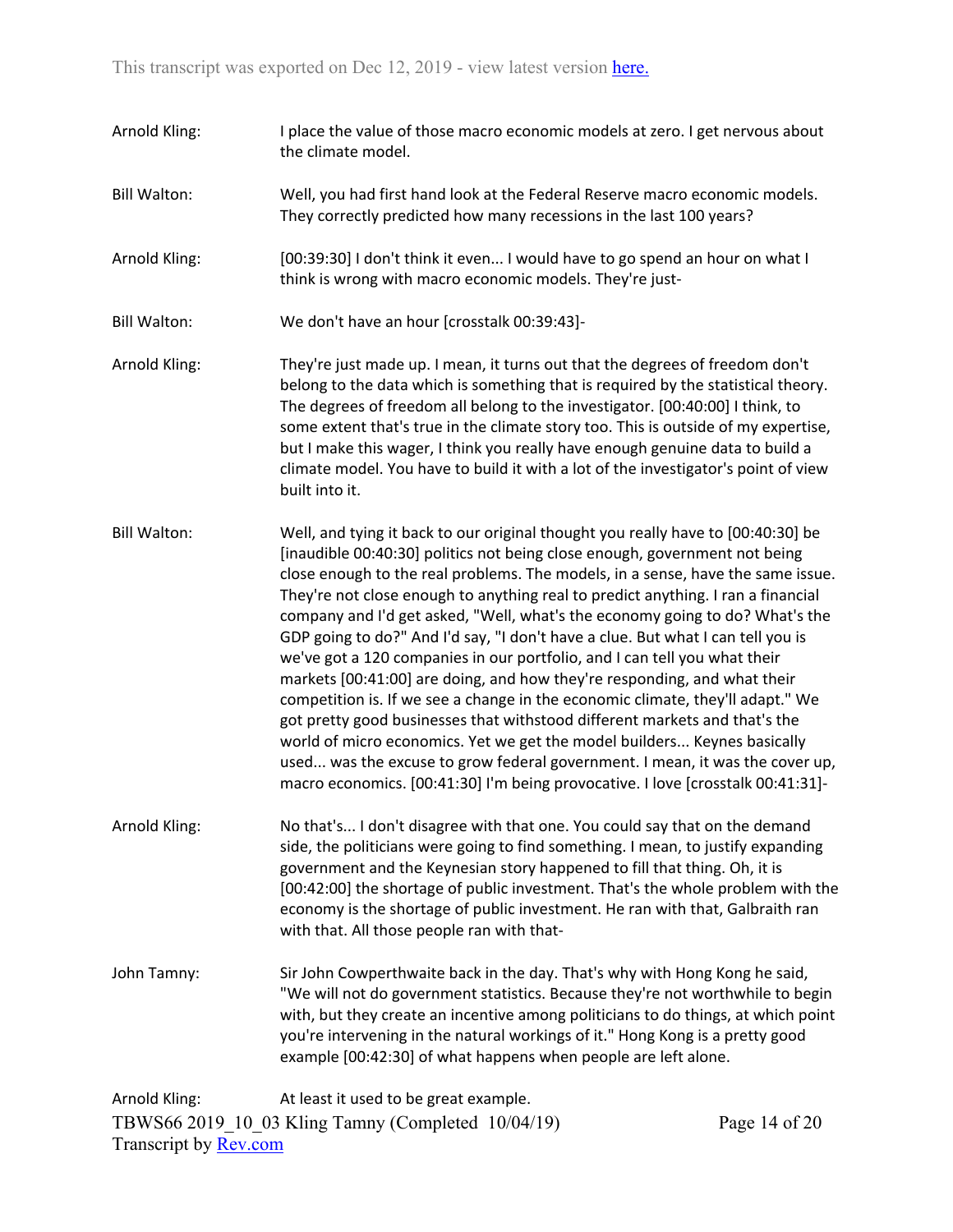TBWS66 2019\_10\_03 Kling Tamny (Completed 10/04/19) Page 14 of 20 Arnold Kling: I place the value of those macro economic models at zero. I get nervous about the climate model. Bill Walton: Well, you had first hand look at the Federal Reserve macro economic models. They correctly predicted how many recessions in the last 100 years? Arnold Kling: [00:39:30] I don't think it even... I would have to go spend an hour on what I think is wrong with macro economic models. They're just-Bill Walton: We don't have an hour [crosstalk 00:39:43]- Arnold Kling: They're just made up. I mean, it turns out that the degrees of freedom don't belong to the data which is something that is required by the statistical theory. The degrees of freedom all belong to the investigator. [00:40:00] I think, to some extent that's true in the climate story too. This is outside of my expertise, but I make this wager, I think you really have enough genuine data to build a climate model. You have to build it with a lot of the investigator's point of view built into it. Bill Walton: Well, and tying it back to our original thought you really have to [00:40:30] be [inaudible 00:40:30] politics not being close enough, government not being close enough to the real problems. The models, in a sense, have the same issue. They're not close enough to anything real to predict anything. I ran a financial company and I'd get asked, "Well, what's the economy going to do? What's the GDP going to do?" And I'd say, "I don't have a clue. But what I can tell you is we've got a 120 companies in our portfolio, and I can tell you what their markets [00:41:00] are doing, and how they're responding, and what their competition is. If we see a change in the economic climate, they'll adapt." We got pretty good businesses that withstood different markets and that's the world of micro economics. Yet we get the model builders... Keynes basically used... was the excuse to grow federal government. I mean, it was the cover up, macro economics. [00:41:30] I'm being provocative. I love [crosstalk 00:41:31]- Arnold Kling: No that's... I don't disagree with that one. You could say that on the demand side, the politicians were going to find something. I mean, to justify expanding government and the Keynesian story happened to fill that thing. Oh, it is [00:42:00] the shortage of public investment. That's the whole problem with the economy is the shortage of public investment. He ran with that, Galbraith ran with that. All those people ran with that-John Tamny: Sir John Cowperthwaite back in the day. That's why with Hong Kong he said, "We will not do government statistics. Because they're not worthwhile to begin with, but they create an incentive among politicians to do things, at which point you're intervening in the natural workings of it." Hong Kong is a pretty good example [00:42:30] of what happens when people are left alone. Arnold Kling: At least it used to be great example.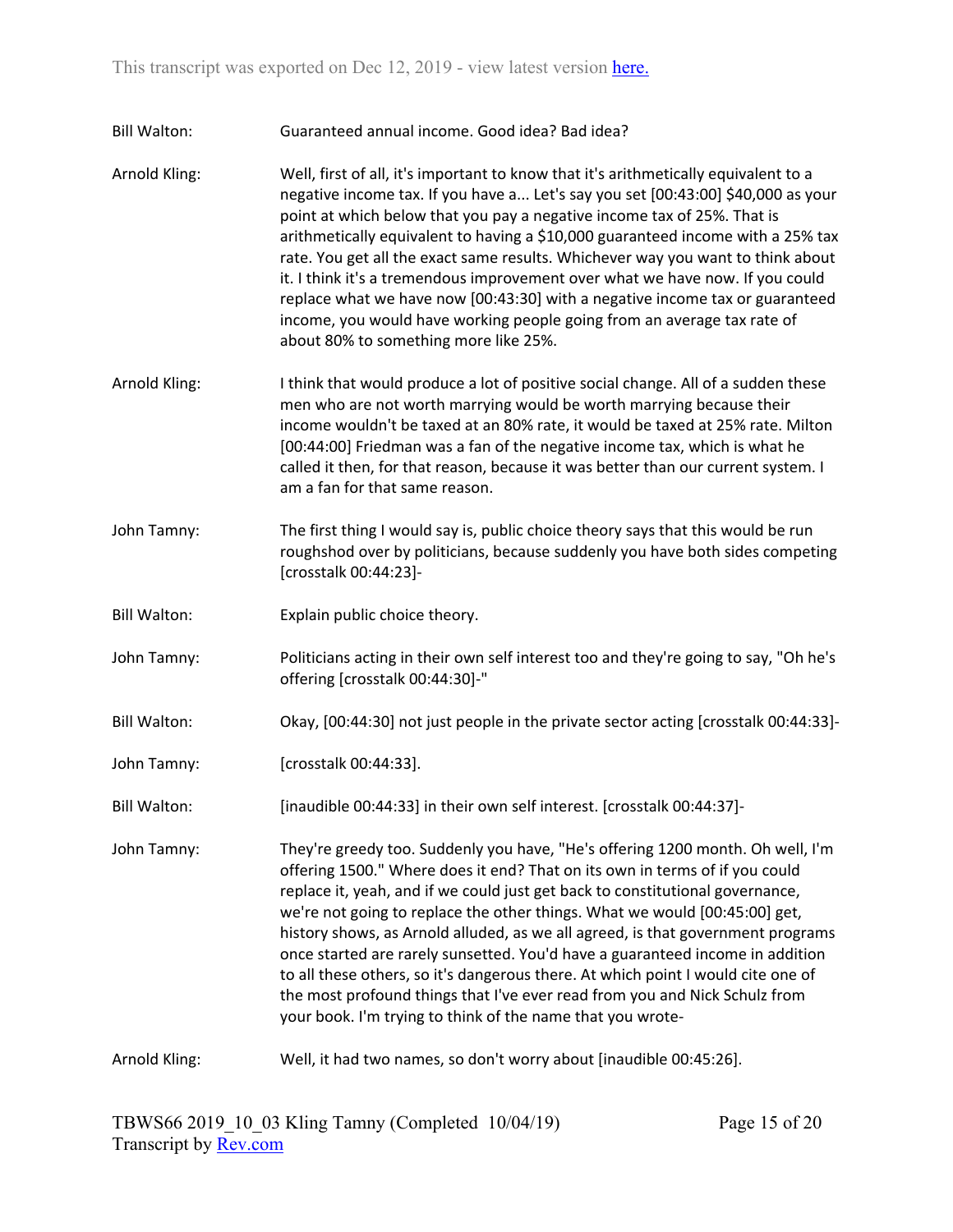Bill Walton: Guaranteed annual income. Good idea? Bad idea?

Arnold Kling: Well, first of all, it's important to know that it's arithmetically equivalent to a negative income tax. If you have a... Let's say you set [00:43:00] \$40,000 as your point at which below that you pay a negative income tax of 25%. That is arithmetically equivalent to having a \$10,000 guaranteed income with a 25% tax rate. You get all the exact same results. Whichever way you want to think about it. I think it's a tremendous improvement over what we have now. If you could replace what we have now [00:43:30] with a negative income tax or guaranteed income, you would have working people going from an average tax rate of about 80% to something more like 25%.

- Arnold Kling: I think that would produce a lot of positive social change. All of a sudden these men who are not worth marrying would be worth marrying because their income wouldn't be taxed at an 80% rate, it would be taxed at 25% rate. Milton [00:44:00] Friedman was a fan of the negative income tax, which is what he called it then, for that reason, because it was better than our current system. I am a fan for that same reason.
- John Tamny: The first thing I would say is, public choice theory says that this would be run roughshod over by politicians, because suddenly you have both sides competing [crosstalk 00:44:23]-
- Bill Walton: Explain public choice theory.
- John Tamny: Politicians acting in their own self interest too and they're going to say, "Oh he's offering [crosstalk 00:44:30]-"
- Bill Walton: Okay, [00:44:30] not just people in the private sector acting [crosstalk 00:44:33]-
- John Tamny: [crosstalk 00:44:33].
- Bill Walton: [inaudible 00:44:33] in their own self interest. [crosstalk 00:44:37]-
- John Tamny: They're greedy too. Suddenly you have, "He's offering 1200 month. Oh well, I'm offering 1500." Where does it end? That on its own in terms of if you could replace it, yeah, and if we could just get back to constitutional governance, we're not going to replace the other things. What we would [00:45:00] get, history shows, as Arnold alluded, as we all agreed, is that government programs once started are rarely sunsetted. You'd have a guaranteed income in addition to all these others, so it's dangerous there. At which point I would cite one of the most profound things that I've ever read from you and Nick Schulz from your book. I'm trying to think of the name that you wrote-
- Arnold Kling: Well, it had two names, so don't worry about [inaudible 00:45:26].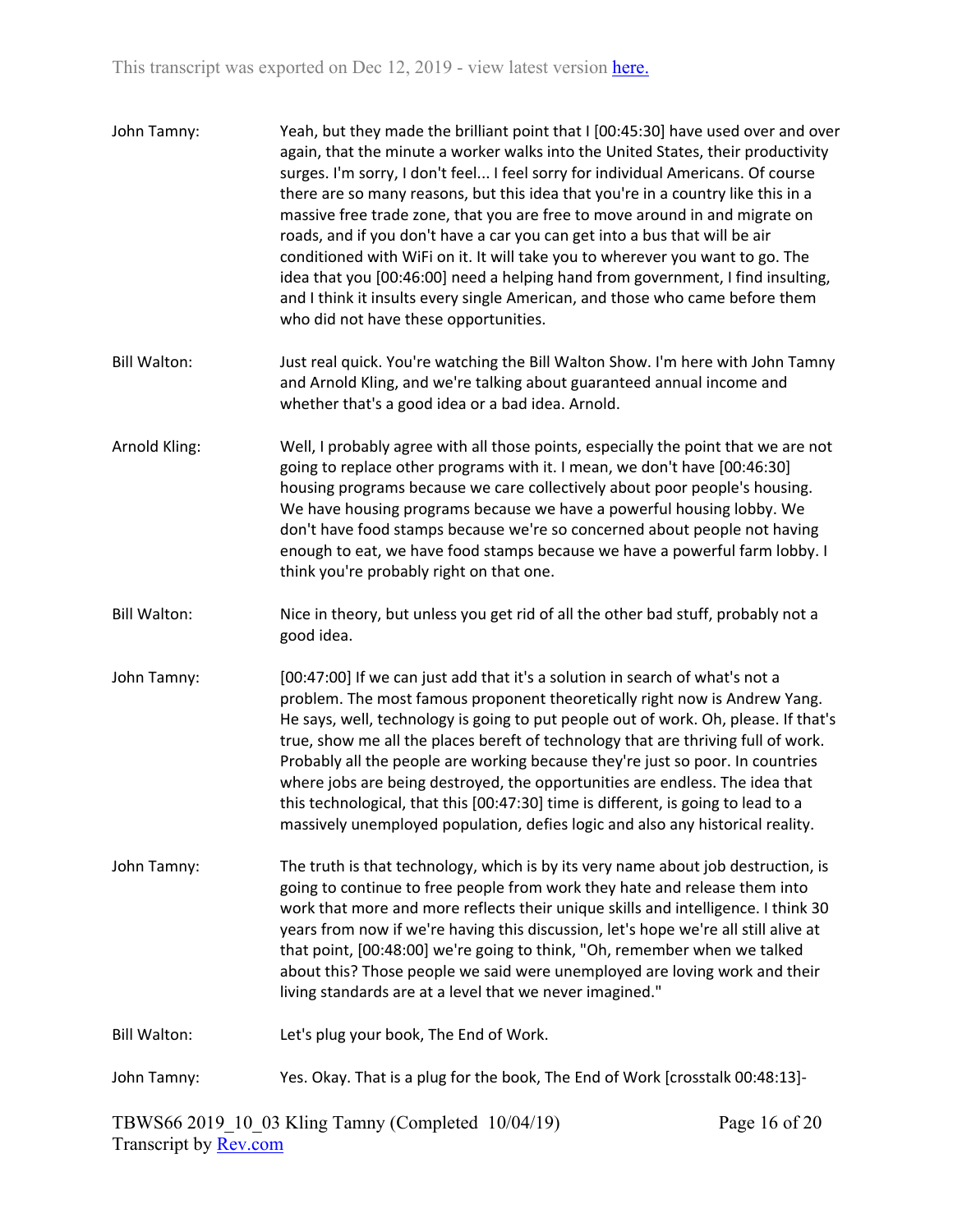| John Tamny:         | Yeah, but they made the brilliant point that I [00:45:30] have used over and over<br>again, that the minute a worker walks into the United States, their productivity<br>surges. I'm sorry, I don't feel I feel sorry for individual Americans. Of course<br>there are so many reasons, but this idea that you're in a country like this in a<br>massive free trade zone, that you are free to move around in and migrate on<br>roads, and if you don't have a car you can get into a bus that will be air<br>conditioned with WiFi on it. It will take you to wherever you want to go. The<br>idea that you [00:46:00] need a helping hand from government, I find insulting,<br>and I think it insults every single American, and those who came before them<br>who did not have these opportunities. |
|---------------------|---------------------------------------------------------------------------------------------------------------------------------------------------------------------------------------------------------------------------------------------------------------------------------------------------------------------------------------------------------------------------------------------------------------------------------------------------------------------------------------------------------------------------------------------------------------------------------------------------------------------------------------------------------------------------------------------------------------------------------------------------------------------------------------------------------|
| <b>Bill Walton:</b> | Just real quick. You're watching the Bill Walton Show. I'm here with John Tamny<br>and Arnold Kling, and we're talking about guaranteed annual income and<br>whether that's a good idea or a bad idea. Arnold.                                                                                                                                                                                                                                                                                                                                                                                                                                                                                                                                                                                          |
| Arnold Kling:       | Well, I probably agree with all those points, especially the point that we are not<br>going to replace other programs with it. I mean, we don't have [00:46:30]<br>housing programs because we care collectively about poor people's housing.<br>We have housing programs because we have a powerful housing lobby. We<br>don't have food stamps because we're so concerned about people not having<br>enough to eat, we have food stamps because we have a powerful farm lobby. I<br>think you're probably right on that one.                                                                                                                                                                                                                                                                          |
| <b>Bill Walton:</b> | Nice in theory, but unless you get rid of all the other bad stuff, probably not a<br>good idea.                                                                                                                                                                                                                                                                                                                                                                                                                                                                                                                                                                                                                                                                                                         |
| John Tamny:         | [00:47:00] If we can just add that it's a solution in search of what's not a<br>problem. The most famous proponent theoretically right now is Andrew Yang.<br>He says, well, technology is going to put people out of work. Oh, please. If that's<br>true, show me all the places bereft of technology that are thriving full of work.<br>Probably all the people are working because they're just so poor. In countries<br>where jobs are being destroyed, the opportunities are endless. The idea that<br>this technological, that this [00:47:30] time is different, is going to lead to a<br>massively unemployed population, defies logic and also any historical reality.                                                                                                                         |
| John Tamny:         | The truth is that technology, which is by its very name about job destruction, is<br>going to continue to free people from work they hate and release them into<br>work that more and more reflects their unique skills and intelligence. I think 30<br>years from now if we're having this discussion, let's hope we're all still alive at<br>that point, [00:48:00] we're going to think, "Oh, remember when we talked<br>about this? Those people we said were unemployed are loving work and their<br>living standards are at a level that we never imagined."                                                                                                                                                                                                                                      |
| <b>Bill Walton:</b> | Let's plug your book, The End of Work.                                                                                                                                                                                                                                                                                                                                                                                                                                                                                                                                                                                                                                                                                                                                                                  |
| John Tamny:         | Yes. Okay. That is a plug for the book, The End of Work [crosstalk 00:48:13]-                                                                                                                                                                                                                                                                                                                                                                                                                                                                                                                                                                                                                                                                                                                           |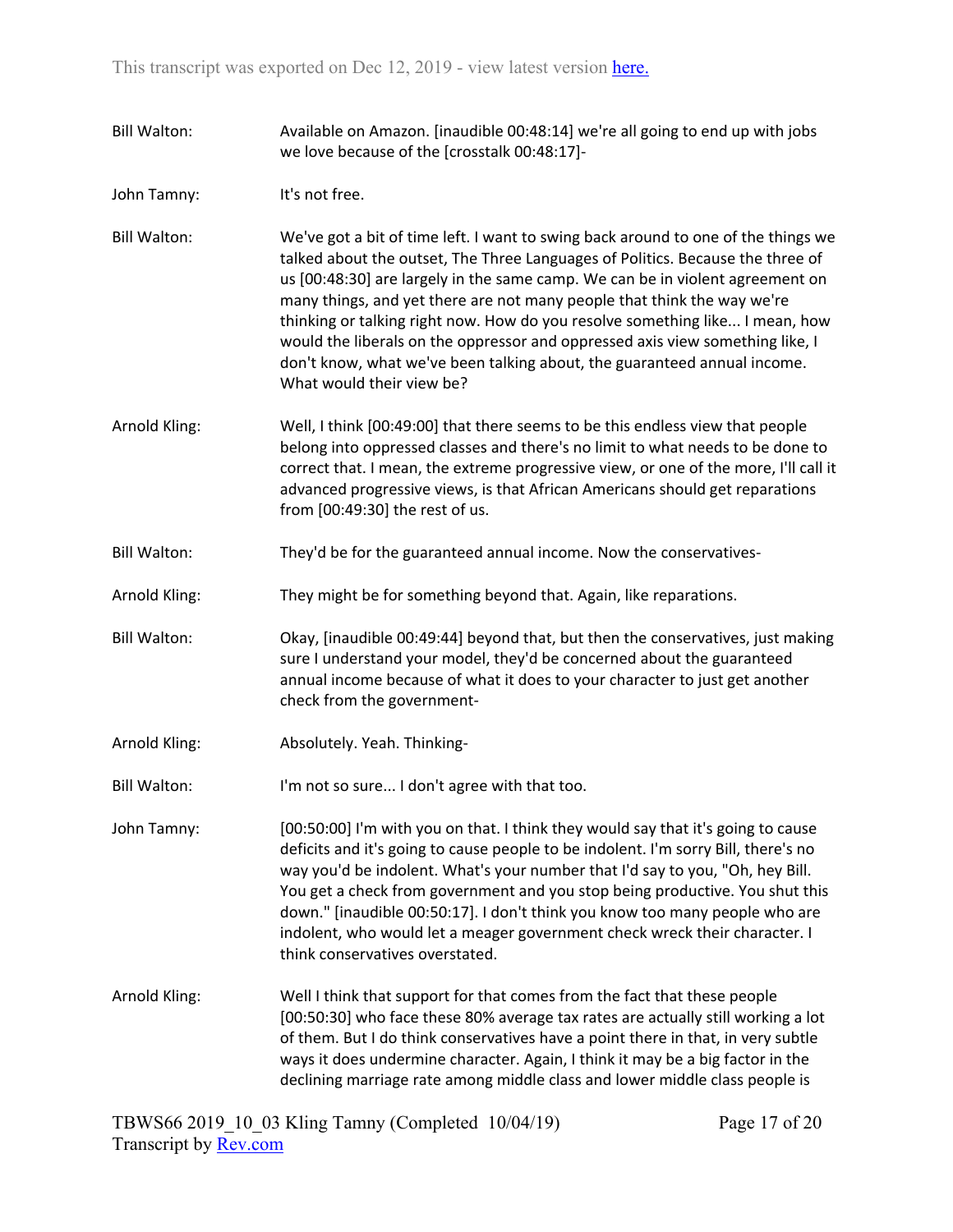- Bill Walton: Available on Amazon. [inaudible 00:48:14] we're all going to end up with jobs we love because of the [crosstalk 00:48:17]-
- John Tamny: It's not free.
- Bill Walton: We've got a bit of time left. I want to swing back around to one of the things we talked about the outset, The Three Languages of Politics. Because the three of us [00:48:30] are largely in the same camp. We can be in violent agreement on many things, and yet there are not many people that think the way we're thinking or talking right now. How do you resolve something like... I mean, how would the liberals on the oppressor and oppressed axis view something like, I don't know, what we've been talking about, the guaranteed annual income. What would their view be?
- Arnold Kling: Well, I think [00:49:00] that there seems to be this endless view that people belong into oppressed classes and there's no limit to what needs to be done to correct that. I mean, the extreme progressive view, or one of the more, I'll call it advanced progressive views, is that African Americans should get reparations from [00:49:30] the rest of us.
- Bill Walton: They'd be for the guaranteed annual income. Now the conservatives-
- Arnold Kling: They might be for something beyond that. Again, like reparations.
- Bill Walton: Okay, [inaudible 00:49:44] beyond that, but then the conservatives, just making sure I understand your model, they'd be concerned about the guaranteed annual income because of what it does to your character to just get another check from the government-
- Arnold Kling: Absolutely. Yeah. Thinking-
- Bill Walton: I'm not so sure... I don't agree with that too.

John Tamny: [00:50:00] I'm with you on that. I think they would say that it's going to cause deficits and it's going to cause people to be indolent. I'm sorry Bill, there's no way you'd be indolent. What's your number that I'd say to you, "Oh, hey Bill. You get a check from government and you stop being productive. You shut this down." [inaudible 00:50:17]. I don't think you know too many people who are indolent, who would let a meager government check wreck their character. I think conservatives overstated.

Arnold Kling: Well I think that support for that comes from the fact that these people [00:50:30] who face these 80% average tax rates are actually still working a lot of them. But I do think conservatives have a point there in that, in very subtle ways it does undermine character. Again, I think it may be a big factor in the declining marriage rate among middle class and lower middle class people is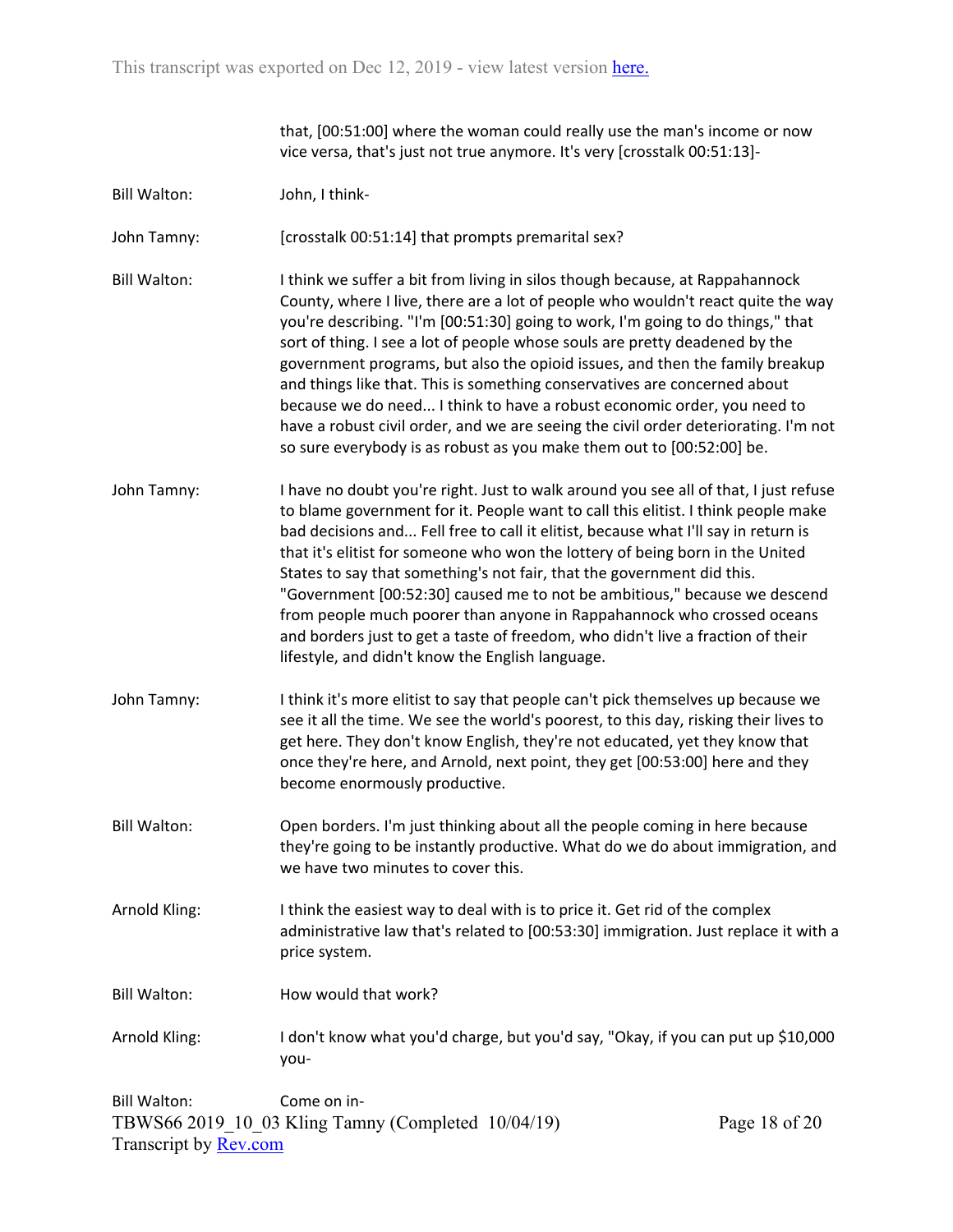that, [00:51:00] where the woman could really use the man's income or now vice versa, that's just not true anymore. It's very [crosstalk 00:51:13]-

Bill Walton: John, I think-

John Tamny: [crosstalk 00:51:14] that prompts premarital sex?

- Bill Walton: I think we suffer a bit from living in silos though because, at Rappahannock County, where I live, there are a lot of people who wouldn't react quite the way you're describing. "I'm [00:51:30] going to work, I'm going to do things," that sort of thing. I see a lot of people whose souls are pretty deadened by the government programs, but also the opioid issues, and then the family breakup and things like that. This is something conservatives are concerned about because we do need... I think to have a robust economic order, you need to have a robust civil order, and we are seeing the civil order deteriorating. I'm not so sure everybody is as robust as you make them out to [00:52:00] be.
- John Tamny: I have no doubt you're right. Just to walk around you see all of that, I just refuse to blame government for it. People want to call this elitist. I think people make bad decisions and... Fell free to call it elitist, because what I'll say in return is that it's elitist for someone who won the lottery of being born in the United States to say that something's not fair, that the government did this. "Government [00:52:30] caused me to not be ambitious," because we descend from people much poorer than anyone in Rappahannock who crossed oceans and borders just to get a taste of freedom, who didn't live a fraction of their lifestyle, and didn't know the English language.
- John Tamny: I think it's more elitist to say that people can't pick themselves up because we see it all the time. We see the world's poorest, to this day, risking their lives to get here. They don't know English, they're not educated, yet they know that once they're here, and Arnold, next point, they get [00:53:00] here and they become enormously productive.
- Bill Walton: Open borders. I'm just thinking about all the people coming in here because they're going to be instantly productive. What do we do about immigration, and we have two minutes to cover this.
- Arnold Kling: I think the easiest way to deal with is to price it. Get rid of the complex administrative law that's related to [00:53:30] immigration. Just replace it with a price system.
- Bill Walton: How would that work?
- Arnold Kling: I don't know what you'd charge, but you'd say, "Okay, if you can put up \$10,000 you-

TBWS66 2019\_10\_03 Kling Tamny (Completed 10/04/19) Transcript by [Rev.com](https://www.rev.com/) Bill Walton: Come on in-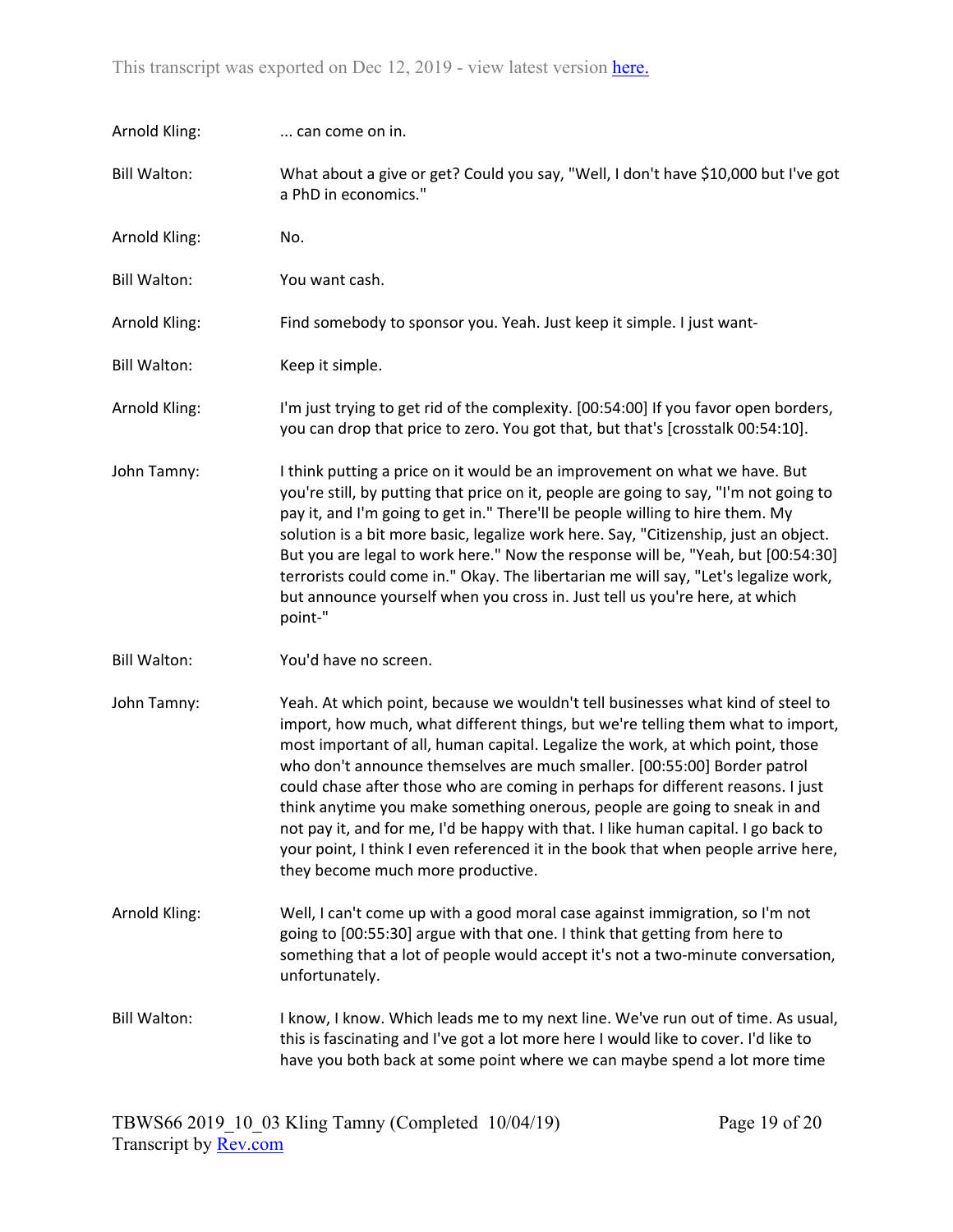| Arnold Kling:       | can come on in.                                                                                                                                                                                                                                                                                                                                                                                                                                                                                                                                                                                                   |
|---------------------|-------------------------------------------------------------------------------------------------------------------------------------------------------------------------------------------------------------------------------------------------------------------------------------------------------------------------------------------------------------------------------------------------------------------------------------------------------------------------------------------------------------------------------------------------------------------------------------------------------------------|
| <b>Bill Walton:</b> | What about a give or get? Could you say, "Well, I don't have \$10,000 but I've got<br>a PhD in economics."                                                                                                                                                                                                                                                                                                                                                                                                                                                                                                        |
| Arnold Kling:       | No.                                                                                                                                                                                                                                                                                                                                                                                                                                                                                                                                                                                                               |
| <b>Bill Walton:</b> | You want cash.                                                                                                                                                                                                                                                                                                                                                                                                                                                                                                                                                                                                    |
| Arnold Kling:       | Find somebody to sponsor you. Yeah. Just keep it simple. I just want-                                                                                                                                                                                                                                                                                                                                                                                                                                                                                                                                             |
| <b>Bill Walton:</b> | Keep it simple.                                                                                                                                                                                                                                                                                                                                                                                                                                                                                                                                                                                                   |
| Arnold Kling:       | I'm just trying to get rid of the complexity. [00:54:00] If you favor open borders,<br>you can drop that price to zero. You got that, but that's [crosstalk 00:54:10].                                                                                                                                                                                                                                                                                                                                                                                                                                            |
| John Tamny:         | I think putting a price on it would be an improvement on what we have. But<br>you're still, by putting that price on it, people are going to say, "I'm not going to<br>pay it, and I'm going to get in." There'll be people willing to hire them. My<br>solution is a bit more basic, legalize work here. Say, "Citizenship, just an object.<br>But you are legal to work here." Now the response will be, "Yeah, but [00:54:30]<br>terrorists could come in." Okay. The libertarian me will say, "Let's legalize work,<br>but announce yourself when you cross in. Just tell us you're here, at which<br>point-" |
| <b>Bill Walton:</b> | You'd have no screen.                                                                                                                                                                                                                                                                                                                                                                                                                                                                                                                                                                                             |
| John Tamny:         | Yeah. At which point, because we wouldn't tell businesses what kind of steel to<br>import, how much, what different things, but we're telling them what to import,<br>most important of all, human capital. Legalize the work, at which point, those<br>who don't announce themselves are much smaller. [00:55:00] Border patrol<br>could chase after those who are coming in perhaps for different reasons. I just                                                                                                                                                                                               |
|                     | think anytime you make something onerous, people are going to sneak in and<br>not pay it, and for me, I'd be happy with that. I like human capital. I go back to<br>your point, I think I even referenced it in the book that when people arrive here,<br>they become much more productive.                                                                                                                                                                                                                                                                                                                       |
| Arnold Kling:       | Well, I can't come up with a good moral case against immigration, so I'm not<br>going to [00:55:30] argue with that one. I think that getting from here to<br>something that a lot of people would accept it's not a two-minute conversation,<br>unfortunately.                                                                                                                                                                                                                                                                                                                                                   |